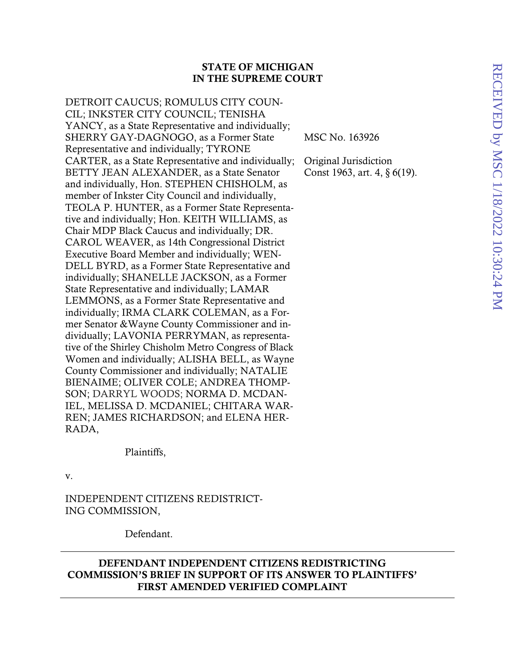#### STATE OF MICHIGAN IN THE SUPREME COURT

DETROIT CAUCUS; ROMULUS CITY COUN-CIL; INKSTER CITY COUNCIL; TENISHA YANCY, as a State Representative and individually; SHERRY GAY-DAGNOGO, as a Former State Representative and individually; TYRONE CARTER, as a State Representative and individually; BETTY JEAN ALEXANDER, as a State Senator and individually, Hon. STEPHEN CHISHOLM, as member of Inkster City Council and individually, TEOLA P. HUNTER, as a Former State Representative and individually; Hon. KEITH WILLIAMS, as Chair MDP Black Caucus and individually; DR. CAROL WEAVER, as 14th Congressional District Executive Board Member and individually; WEN-DELL BYRD, as a Former State Representative and individually; SHANELLE JACKSON, as a Former State Representative and individually; LAMAR LEMMONS, as a Former State Representative and individually; IRMA CLARK COLEMAN, as a Former Senator &Wayne County Commissioner and individually; LAVONIA PERRYMAN, as representative of the Shirley Chisholm Metro Congress of Black Women and individually; ALISHA BELL, as Wayne County Commissioner and individually; NATALIE BIENAIME; OLIVER COLE; ANDREA THOMP-SON; DARRYL WOODS; NORMA D. MCDAN-IEL, MELISSA D. MCDANIEL; CHITARA WAR-REN; JAMES RICHARDSON; and ELENA HER-RADA,

Plaintiffs,

v.

INDEPENDENT CITIZENS REDISTRICT-ING COMMISSION,

Defendant.

## DEFENDANT INDEPENDENT CITIZENS REDISTRICTING COMMISSION'S BRIEF IN SUPPORT OF ITS ANSWER TO PLAINTIFFS' FIRST AMENDED VERIFIED COMPLAINT

MSC No. 163926

Original Jurisdiction Const 1963, art. 4, § 6(19).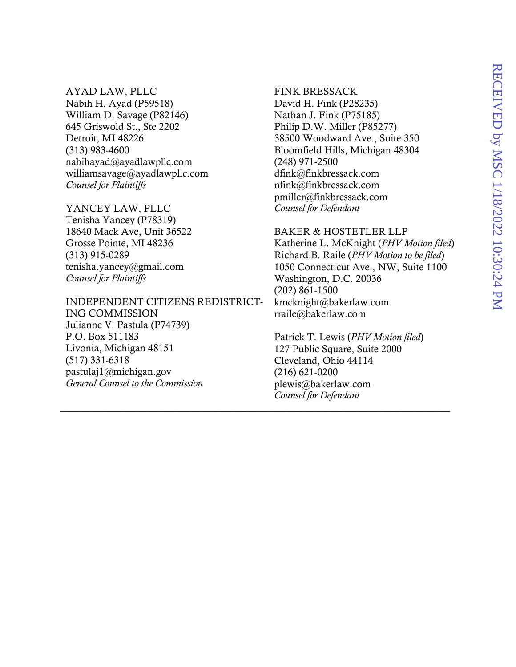## AYAD LAW, PLLC

Nabih H. Ayad (P59518) William D. Savage (P82146) 645 Griswold St., Ste 2202 Detroit, MI 48226 (313) 983-4600 nabihayad@ayadlawpllc.com williamsavage@ayadlawpllc.com *Counsel for Plaintiffs*

YANCEY LAW, PLLC Tenisha Yancey (P78319) 18640 Mack Ave, Unit 36522 Grosse Pointe, MI 48236 (313) 915-0289 tenisha.yancey@gmail.com *Counsel for Plaintiffs*

INDEPENDENT CITIZENS REDISTRICT-ING COMMISSION Julianne V. Pastula (P74739) P.O. Box 511183 Livonia, Michigan 48151 (517) 331-6318 pastulaj1@michigan.gov *General Counsel to the Commission*

FINK BRESSACK David H. Fink (P28235) Nathan J. Fink (P75185) Philip D.W. Miller (P85277) 38500 Woodward Ave., Suite 350 Bloomfield Hills, Michigan 48304 (248) 971-2500 dfink@finkbressack.com nfink@finkbressack.com pmiller@finkbressack.com *Counsel for Defendant*

BAKER & HOSTETLER LLP

Katherine L. McKnight (*PHV Motion filed*) Richard B. Raile (*PHV Motion to be filed*) 1050 Connecticut Ave., NW, Suite 1100 Washington, D.C. 20036 (202) 861-1500 kmcknight@bakerlaw.com rraile@bakerlaw.com

Patrick T. Lewis (*PHV Motion filed*) 127 Public Square, Suite 2000 Cleveland, Ohio 44114 (216) 621-0200 plewis@bakerlaw.com *Counsel for Defendant*

\_\_\_\_\_\_\_\_\_\_\_\_\_\_\_\_\_\_\_\_\_\_\_\_\_\_\_\_\_\_\_\_\_\_\_\_\_\_\_\_\_\_\_\_\_\_\_\_\_\_\_\_\_\_\_\_\_\_\_\_\_\_\_\_\_\_\_\_\_\_\_\_\_\_\_\_\_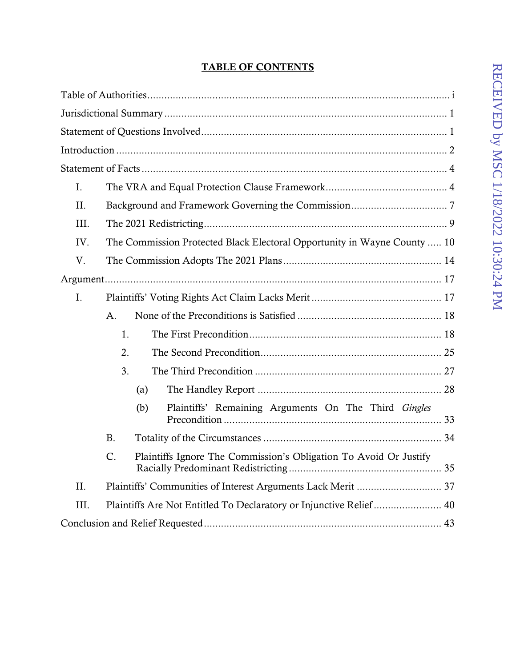# TABLE OF CONTENTS

<span id="page-2-0"></span>

| $I_{\cdot}$ |                                                                            |  |
|-------------|----------------------------------------------------------------------------|--|
| II.         |                                                                            |  |
| III.        |                                                                            |  |
| IV.         | The Commission Protected Black Electoral Opportunity in Wayne County  10   |  |
| V.          |                                                                            |  |
|             |                                                                            |  |
| I.          |                                                                            |  |
|             | А.                                                                         |  |
|             | 1.                                                                         |  |
|             | 2.                                                                         |  |
|             | 3.                                                                         |  |
|             | (a)                                                                        |  |
|             | Plaintiffs' Remaining Arguments On The Third Gingles<br>(b)                |  |
|             | <b>B.</b>                                                                  |  |
|             | $C$ .<br>Plaintiffs Ignore The Commission's Obligation To Avoid Or Justify |  |
| II.         |                                                                            |  |
| III.        | Plaintiffs Are Not Entitled To Declaratory or Injunctive Relief 40         |  |
|             |                                                                            |  |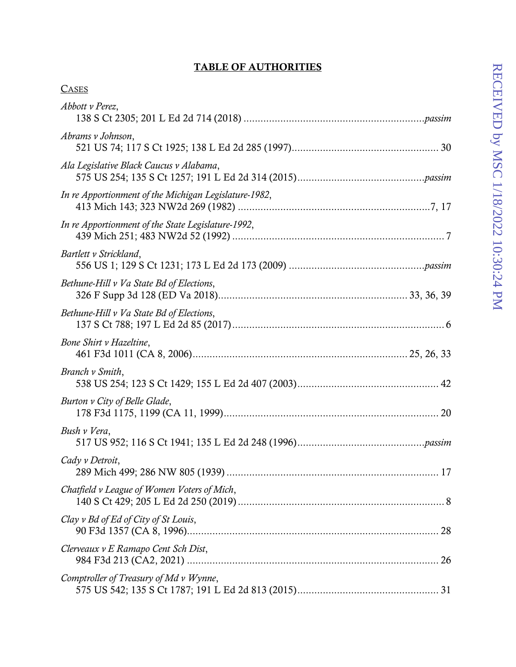## TABLE OF AUTHORITIES

| <b>CASES</b>                                          |  |
|-------------------------------------------------------|--|
| Abbott v Perez,                                       |  |
| Abrams v Johnson,                                     |  |
| Ala Legislative Black Caucus v Alabama,               |  |
| In re Apportionment of the Michigan Legislature-1982, |  |
| In re Apportionment of the State Legislature-1992,    |  |
| Bartlett v Strickland,                                |  |
| Bethune-Hill v Va State Bd of Elections,              |  |
| Bethune-Hill v Va State Bd of Elections,              |  |
| Bone Shirt v Hazeltine,                               |  |
| Branch v Smith,                                       |  |
| Burton v City of Belle Glade,                         |  |
| Bush v Vera,                                          |  |
| Cady v Detroit,                                       |  |
| Chatfield v League of Women Voters of Mich,           |  |
| Clay v Bd of Ed of City of St Louis,                  |  |
| Clerveaux v E Ramapo Cent Sch Dist,                   |  |
| Comptroller of Treasury of Md v Wynne,                |  |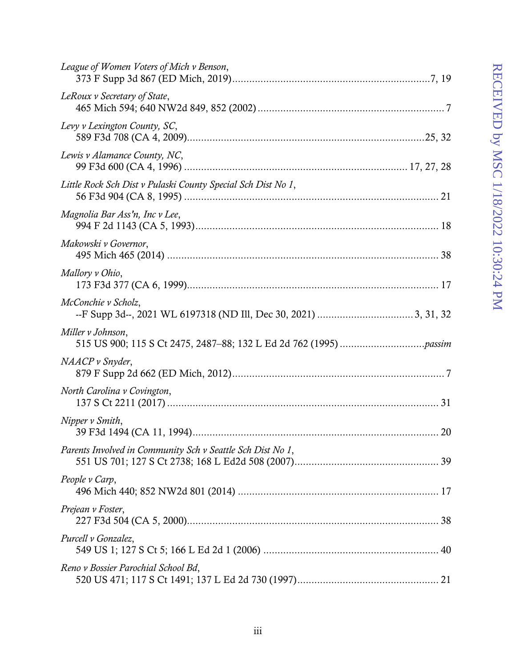| League of Women Voters of Mich v Benson,                     |
|--------------------------------------------------------------|
| LeRoux v Secretary of State,                                 |
| Levy v Lexington County, SC,                                 |
| Lewis v Alamance County, NC,                                 |
| Little Rock Sch Dist v Pulaski County Special Sch Dist No 1, |
| Magnolia Bar Ass'n, Inc v Lee,                               |
| Makowski v Governor,                                         |
| Mallory v Ohio,                                              |
| McConchie v Scholz,                                          |
| Miller v Johnson,                                            |
| NAACP v Snyder,                                              |
| North Carolina v Covington,                                  |
| Nipper v Smith,<br>.20                                       |
| Parents Involved in Community Sch v Seattle Sch Dist No 1,   |
| People v Carp,                                               |
| Prejean v Foster,                                            |
| Purcell v Gonzalez,                                          |
| Reno v Bossier Parochial School Bd,                          |
|                                                              |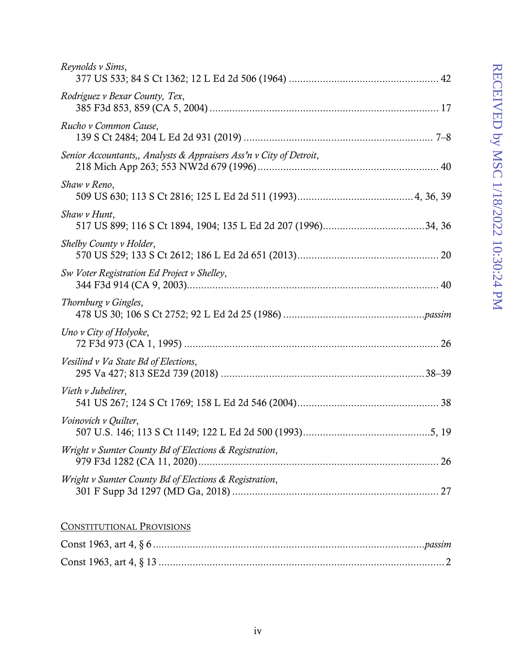| Reynolds v Sims,                                                              |    |
|-------------------------------------------------------------------------------|----|
| Rodriguez v Bexar County, Tex,                                                |    |
| Rucho v Common Cause,                                                         |    |
| Senior Accountants,, Analysts & Appraisers Ass'n v City of Detroit,           |    |
| Shaw v Reno,                                                                  |    |
| Shaw v Hunt,<br>517 US 899; 116 S Ct 1894, 1904; 135 L Ed 2d 207 (1996)34, 36 |    |
| Shelby County v Holder,                                                       |    |
| Sw Voter Registration Ed Project v Shelley,                                   |    |
| Thornburg v Gingles,                                                          |    |
| Uno v City of Holyoke,                                                        |    |
| Vesilind v Va State Bd of Elections,                                          |    |
| Vieth v Jubelirer,                                                            |    |
| Voinovich v Quilter,                                                          |    |
| Wright v Sumter County Bd of Elections & Registration,                        | 26 |
| Wright v Sumter County Bd of Elections & Registration,                        | 27 |
|                                                                               |    |

# CONSTITUTIONAL PROVISIONS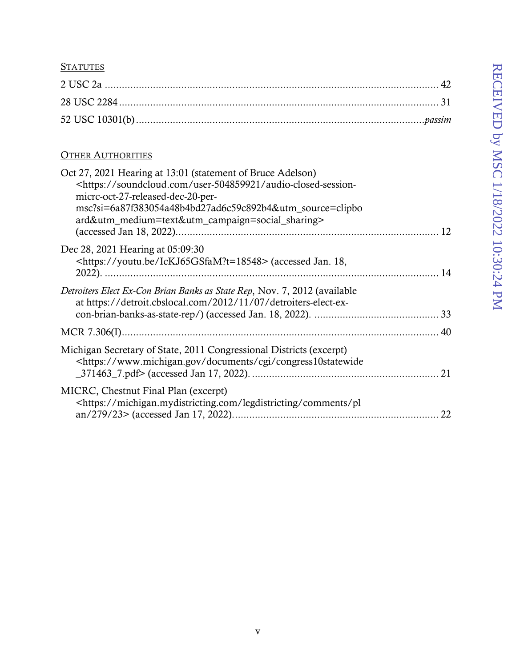## **STATUTES**

## **OTHER AUTHORITIES**

| Oct 27, 2021 Hearing at 13:01 (statement of Bruce Adelson)<br><https: audio-closed-session-<br="" soundcloud.com="" user-504859921="">micrc-oct-27-released-dec-20-per-<br/>msc?si=6a87f383054a48b4bd27ad6c59c892b4&amp;utm_source=clipbo<br/>ard&amp;utm_medium=text&amp;utm_campaign=social_sharing&gt;</https:> |    |
|--------------------------------------------------------------------------------------------------------------------------------------------------------------------------------------------------------------------------------------------------------------------------------------------------------------------|----|
| Dec 28, 2021 Hearing at 05:09:30<br><https: ickj65gsfam?t="18548" youtu.be=""> (accessed Jan. 18,</https:>                                                                                                                                                                                                         |    |
| Detroiters Elect Ex-Con Brian Banks as State Rep, Nov. 7, 2012 (available<br>at https://detroit.cbslocal.com/2012/11/07/detroiters-elect-ex-                                                                                                                                                                       |    |
|                                                                                                                                                                                                                                                                                                                    |    |
| Michigan Secretary of State, 2011 Congressional Districts (excerpt)<br><https: cgi="" congress10statewide<="" documents="" td="" www.michigan.gov=""><td>21</td></https:>                                                                                                                                          | 21 |
| MICRC, Chestnut Final Plan (excerpt)<br><https: comments="" legdistricting="" michigan.mydistricting.com="" pl<="" td=""><td>22</td></https:>                                                                                                                                                                      | 22 |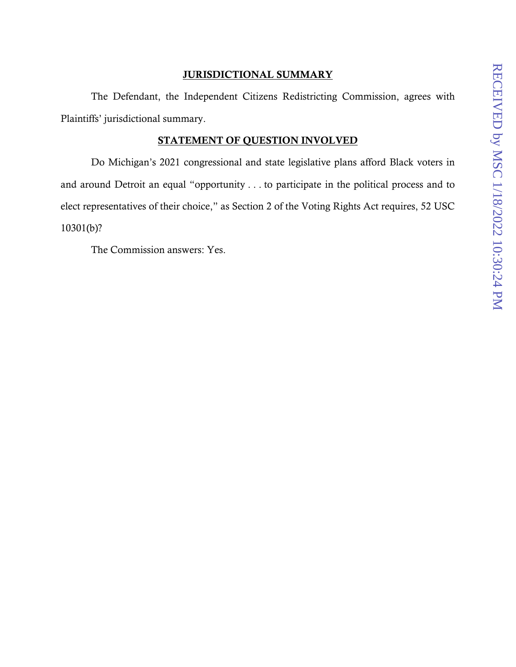## JURISDICTIONAL SUMMARY

<span id="page-8-0"></span>The Defendant, the Independent Citizens Redistricting Commission, agrees with Plaintiffs' jurisdictional summary.

## STATEMENT OF QUESTION INVOLVED

<span id="page-8-1"></span>Do Michigan's 2021 congressional and state legislative plans afford Black voters in and around Detroit an equal "opportunity . . . to participate in the political process and to elect representatives of their choice," as Section 2 of the Voting Rights Act requires, 52 USC 10301(b)?

The Commission answers: Yes.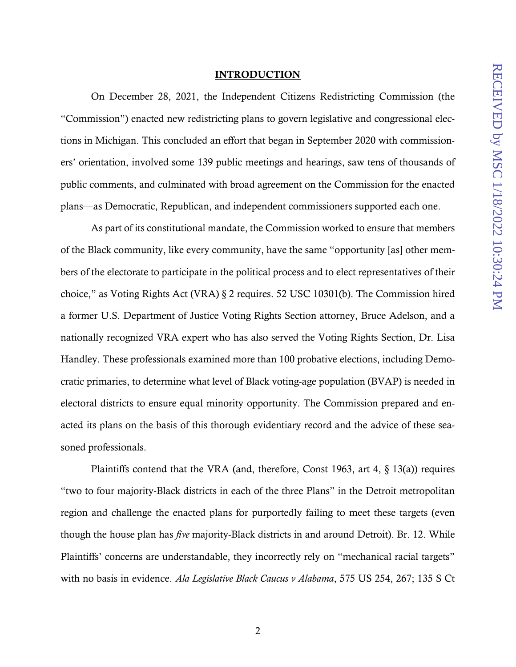#### INTRODUCTION

<span id="page-9-0"></span>On December 28, 2021, the Independent Citizens Redistricting Commission (the "Commission") enacted new redistricting plans to govern legislative and congressional elections in Michigan. This concluded an effort that began in September 2020 with commissioners' orientation, involved some 139 public meetings and hearings, saw tens of thousands of public comments, and culminated with broad agreement on the Commission for the enacted plans—as Democratic, Republican, and independent commissioners supported each one.

As part of its constitutional mandate, the Commission worked to ensure that members of the Black community, like every community, have the same "opportunity [as] other members of the electorate to participate in the political process and to elect representatives of their choice," as Voting Rights Act (VRA) § 2 requires. 52 USC 10301(b). The Commission hired a former U.S. Department of Justice Voting Rights Section attorney, Bruce Adelson, and a nationally recognized VRA expert who has also served the Voting Rights Section, Dr. Lisa Handley. These professionals examined more than 100 probative elections, including Democratic primaries, to determine what level of Black voting-age population (BVAP) is needed in electoral districts to ensure equal minority opportunity. The Commission prepared and enacted its plans on the basis of this thorough evidentiary record and the advice of these seasoned professionals.

Plaintiffs contend that the VRA (and, therefore, Const 1963, art 4, § 13(a)) requires "two to four majority-Black districts in each of the three Plans" in the Detroit metropolitan region and challenge the enacted plans for purportedly failing to meet these targets (even though the house plan has *five* majority-Black districts in and around Detroit). Br. 12. While Plaintiffs' concerns are understandable, they incorrectly rely on "mechanical racial targets" with no basis in evidence. *Ala Legislative Black Caucus v Alabama*, 575 US 254, 267; 135 S Ct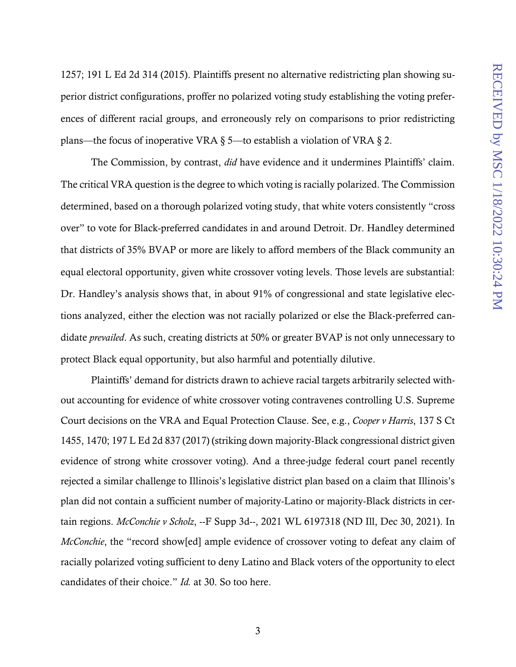1257; 191 L Ed 2d 314 (2015). Plaintiffs present no alternative redistricting plan showing superior district configurations, proffer no polarized voting study establishing the voting preferences of different racial groups, and erroneously rely on comparisons to prior redistricting plans—the focus of inoperative VRA  $\S$  5—to establish a violation of VRA  $\S$  2.

The Commission, by contrast, *did* have evidence and it undermines Plaintiffs' claim. The critical VRA question is the degree to which voting is racially polarized. The Commission determined, based on a thorough polarized voting study, that white voters consistently "cross over" to vote for Black-preferred candidates in and around Detroit. Dr. Handley determined that districts of 35% BVAP or more are likely to afford members of the Black community an equal electoral opportunity, given white crossover voting levels. Those levels are substantial: Dr. Handley's analysis shows that, in about 91% of congressional and state legislative elections analyzed, either the election was not racially polarized or else the Black-preferred candidate *prevailed*. As such, creating districts at 50% or greater BVAP is not only unnecessary to protect Black equal opportunity, but also harmful and potentially dilutive.

Plaintiffs' demand for districts drawn to achieve racial targets arbitrarily selected without accounting for evidence of white crossover voting contravenes controlling U.S. Supreme Court decisions on the VRA and Equal Protection Clause. See, e.g., *Cooper v Harris*, 137 S Ct 1455, 1470; 197 L Ed 2d 837 (2017) (striking down majority-Black congressional district given evidence of strong white crossover voting). And a three-judge federal court panel recently rejected a similar challenge to Illinois's legislative district plan based on a claim that Illinois's plan did not contain a sufficient number of majority-Latino or majority-Black districts in certain regions. *McConchie v Scholz*, --F Supp 3d--, 2021 WL 6197318 (ND Ill, Dec 30, 2021). In *McConchie*, the "record show[ed] ample evidence of crossover voting to defeat any claim of racially polarized voting sufficient to deny Latino and Black voters of the opportunity to elect candidates of their choice." *Id.* at 30. So too here.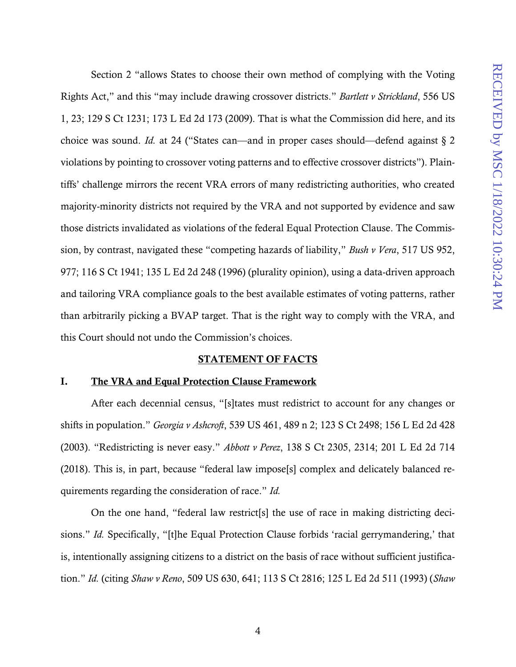Section 2 "allows States to choose their own method of complying with the Voting Rights Act," and this "may include drawing crossover districts." *Bartlett v Strickland*, 556 US 1, 23; 129 S Ct 1231; 173 L Ed 2d 173 (2009). That is what the Commission did here, and its choice was sound. *Id.* at 24 ("States can—and in proper cases should—defend against § 2 violations by pointing to crossover voting patterns and to effective crossover districts"). Plaintiffs' challenge mirrors the recent VRA errors of many redistricting authorities, who created majority-minority districts not required by the VRA and not supported by evidence and saw those districts invalidated as violations of the federal Equal Protection Clause. The Commission, by contrast, navigated these "competing hazards of liability," *Bush v Vera*, 517 US 952, 977; 116 S Ct 1941; 135 L Ed 2d 248 (1996) (plurality opinion), using a data-driven approach and tailoring VRA compliance goals to the best available estimates of voting patterns, rather than arbitrarily picking a BVAP target. That is the right way to comply with the VRA, and this Court should not undo the Commission's choices.

#### STATEMENT OF FACTS

#### <span id="page-11-1"></span><span id="page-11-0"></span>I. The VRA and Equal Protection Clause Framework

After each decennial census, "[s]tates must redistrict to account for any changes or shifts in population." *Georgia v Ashcroft*, 539 US 461, 489 n 2; 123 S Ct 2498; 156 L Ed 2d 428 (2003). "Redistricting is never easy." *Abbott v Perez*, 138 S Ct 2305, 2314; 201 L Ed 2d 714 (2018). This is, in part, because "federal law impose[s] complex and delicately balanced requirements regarding the consideration of race." *Id.*

On the one hand, "federal law restrict[s] the use of race in making districting decisions." *Id.* Specifically, "[t]he Equal Protection Clause forbids 'racial gerrymandering,' that is, intentionally assigning citizens to a district on the basis of race without sufficient justification." *Id.* (citing *Shaw v Reno*, 509 US 630, 641; 113 S Ct 2816; 125 L Ed 2d 511 (1993) (*Shaw*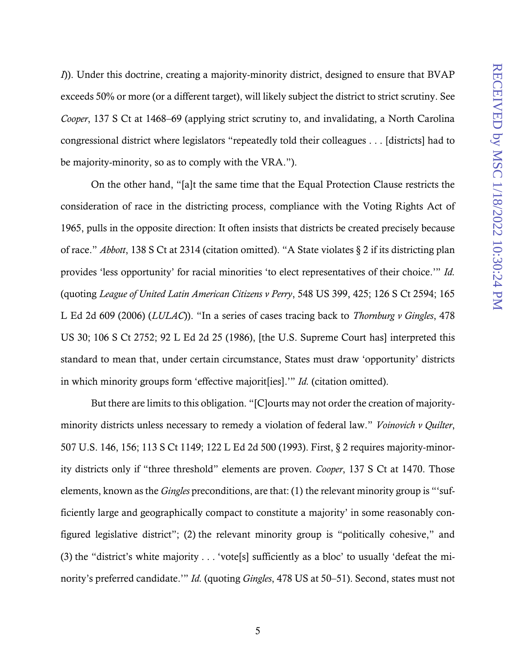*I*)). Under this doctrine, creating a majority-minority district, designed to ensure that BVAP exceeds 50% or more (or a different target), will likely subject the district to strict scrutiny. See *Cooper*, 137 S Ct at 1468–69 (applying strict scrutiny to, and invalidating, a North Carolina congressional district where legislators "repeatedly told their colleagues . . . [districts] had to be majority-minority, so as to comply with the VRA.").

On the other hand, "[a]t the same time that the Equal Protection Clause restricts the consideration of race in the districting process, compliance with the Voting Rights Act of 1965, pulls in the opposite direction: It often insists that districts be created precisely because of race." *Abbott*, 138 S Ct at 2314 (citation omitted). "A State violates § 2 if its districting plan provides 'less opportunity' for racial minorities 'to elect representatives of their choice.'" *Id.* (quoting *League of United Latin American Citizens v Perry*, 548 US 399, 425; 126 S Ct 2594; 165 L Ed 2d 609 (2006) (*LULAC*)). "In a series of cases tracing back to *Thornburg v Gingles*, 478 US 30; 106 S Ct 2752; 92 L Ed 2d 25 (1986), [the U.S. Supreme Court has] interpreted this standard to mean that, under certain circumstance, States must draw 'opportunity' districts in which minority groups form 'effective majorit[ies].'" *Id.* (citation omitted).

But there are limits to this obligation. "[C]ourts may not order the creation of majorityminority districts unless necessary to remedy a violation of federal law." *Voinovich v Quilter*, 507 U.S. 146, 156; 113 S Ct 1149; 122 L Ed 2d 500 (1993). First, § 2 requires majority-minority districts only if "three threshold" elements are proven. *Cooper*, 137 S Ct at 1470. Those elements, known as the *Gingles* preconditions, are that: (1) the relevant minority group is "'sufficiently large and geographically compact to constitute a majority' in some reasonably configured legislative district"; (2) the relevant minority group is "politically cohesive," and (3) the "district's white majority . . . 'vote[s] sufficiently as a bloc' to usually 'defeat the minority's preferred candidate.'" *Id.* (quoting *Gingles*, 478 US at 50–51). Second, states must not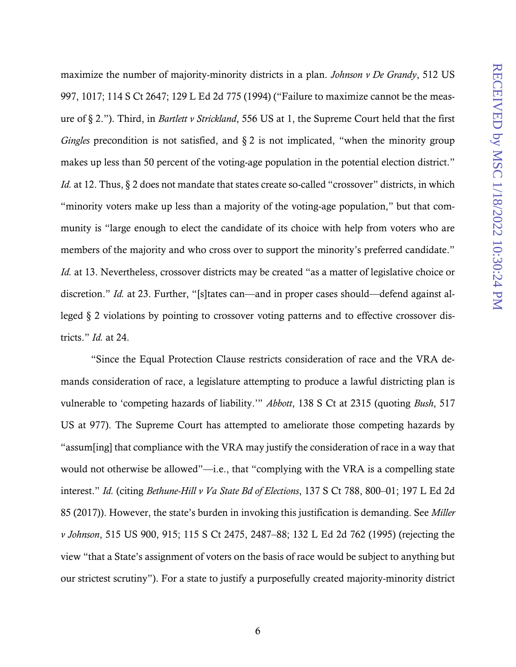maximize the number of majority-minority districts in a plan. *Johnson v De Grandy*, 512 US 997, 1017; 114 S Ct 2647; 129 L Ed 2d 775 (1994) ("Failure to maximize cannot be the measure of § 2."). Third, in *Bartlett v Strickland*, 556 US at 1, the Supreme Court held that the first *Gingles* precondition is not satisfied, and § 2 is not implicated, "when the minority group makes up less than 50 percent of the voting-age population in the potential election district." *Id.* at 12. Thus, § 2 does not mandate that states create so-called "crossover" districts, in which "minority voters make up less than a majority of the voting-age population," but that community is "large enough to elect the candidate of its choice with help from voters who are members of the majority and who cross over to support the minority's preferred candidate." *Id.* at 13. Nevertheless, crossover districts may be created "as a matter of legislative choice or discretion." *Id.* at 23. Further, "[s]tates can—and in proper cases should—defend against alleged § 2 violations by pointing to crossover voting patterns and to effective crossover districts." *Id.* at 24.

"Since the Equal Protection Clause restricts consideration of race and the VRA demands consideration of race, a legislature attempting to produce a lawful districting plan is vulnerable to 'competing hazards of liability.'" *Abbott*, 138 S Ct at 2315 (quoting *Bush*, 517 US at 977). The Supreme Court has attempted to ameliorate those competing hazards by "assum[ing] that compliance with the VRA may justify the consideration of race in a way that would not otherwise be allowed"—i.e., that "complying with the VRA is a compelling state interest." *Id.* (citing *Bethune-Hill v Va State Bd of Elections*, 137 S Ct 788, 800–01; 197 L Ed 2d 85 (2017)). However, the state's burden in invoking this justification is demanding. See *Miller v Johnson*, 515 US 900, 915; 115 S Ct 2475, 2487–88; 132 L Ed 2d 762 (1995) (rejecting the view "that a State's assignment of voters on the basis of race would be subject to anything but our strictest scrutiny"). For a state to justify a purposefully created majority-minority district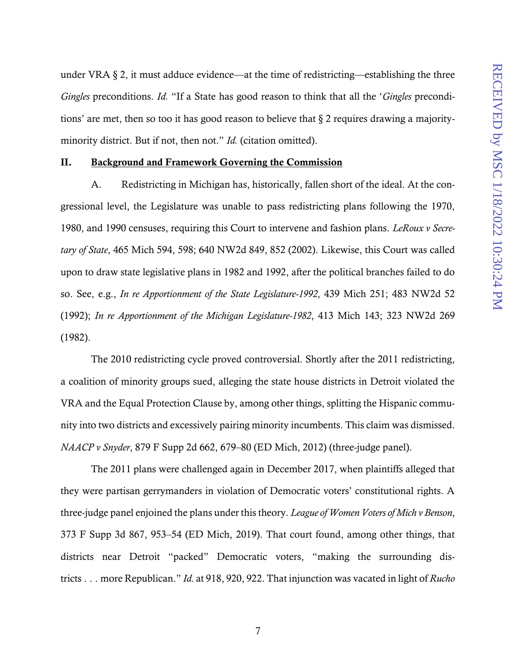under VRA  $\S$  2, it must adduce evidence—at the time of redistricting—establishing the three *Gingles* preconditions. *Id.* "If a State has good reason to think that all the '*Gingles* preconditions' are met, then so too it has good reason to believe that § 2 requires drawing a majorityminority district. But if not, then not." *Id.* (citation omitted).

#### <span id="page-14-0"></span>II. Background and Framework Governing the Commission

A. Redistricting in Michigan has, historically, fallen short of the ideal. At the congressional level, the Legislature was unable to pass redistricting plans following the 1970, 1980, and 1990 censuses, requiring this Court to intervene and fashion plans. *LeRoux v Secretary of State*, 465 Mich 594, 598; 640 NW2d 849, 852 (2002). Likewise, this Court was called upon to draw state legislative plans in 1982 and 1992, after the political branches failed to do so. See, e.g., *In re Apportionment of the State Legislature-1992*, 439 Mich 251; 483 NW2d 52 (1992); *In re Apportionment of the Michigan Legislature-1982*, 413 Mich 143; 323 NW2d 269 (1982).

The 2010 redistricting cycle proved controversial. Shortly after the 2011 redistricting, a coalition of minority groups sued, alleging the state house districts in Detroit violated the VRA and the Equal Protection Clause by, among other things, splitting the Hispanic community into two districts and excessively pairing minority incumbents. This claim was dismissed. *NAACP v Snyder*, 879 F Supp 2d 662, 679–80 (ED Mich, 2012) (three-judge panel).

The 2011 plans were challenged again in December 2017, when plaintiffs alleged that they were partisan gerrymanders in violation of Democratic voters' constitutional rights. A three-judge panel enjoined the plans under this theory. *League of Women Voters of Mich v Benson*, 373 F Supp 3d 867, 953–54 (ED Mich, 2019). That court found, among other things, that districts near Detroit "packed" Democratic voters, "making the surrounding districts . . . more Republican." *Id.* at 918, 920, 922. That injunction was vacated in light of *Rucho*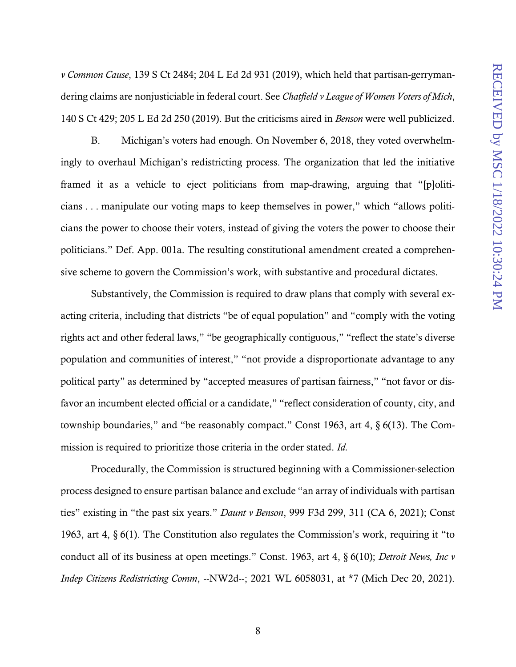*v Common Cause*, 139 S Ct 2484; 204 L Ed 2d 931 (2019), which held that partisan-gerrymandering claims are nonjusticiable in federal court. See *Chatfield v League of Women Voters of Mich*, 140 S Ct 429; 205 L Ed 2d 250 (2019). But the criticisms aired in *Benson* were well publicized.

B. Michigan's voters had enough. On November 6, 2018, they voted overwhelmingly to overhaul Michigan's redistricting process. The organization that led the initiative framed it as a vehicle to eject politicians from map-drawing, arguing that "[p]oliticians . . . manipulate our voting maps to keep themselves in power," which "allows politicians the power to choose their voters, instead of giving the voters the power to choose their politicians." Def. App. 001a. The resulting constitutional amendment created a comprehensive scheme to govern the Commission's work, with substantive and procedural dictates.

Substantively, the Commission is required to draw plans that comply with several exacting criteria, including that districts "be of equal population" and "comply with the voting rights act and other federal laws," "be geographically contiguous," "reflect the state's diverse population and communities of interest," "not provide a disproportionate advantage to any political party" as determined by "accepted measures of partisan fairness," "not favor or disfavor an incumbent elected official or a candidate," "reflect consideration of county, city, and township boundaries," and "be reasonably compact." Const 1963, art 4, § 6(13). The Commission is required to prioritize those criteria in the order stated. *Id.*

Procedurally, the Commission is structured beginning with a Commissioner-selection process designed to ensure partisan balance and exclude "an array of individuals with partisan ties" existing in "the past six years." *Daunt v Benson*, 999 F3d 299, 311 (CA 6, 2021); Const 1963, art 4, § 6(1). The Constitution also regulates the Commission's work, requiring it "to conduct all of its business at open meetings." Const. 1963, art 4, § 6(10); *Detroit News, Inc v Indep Citizens Redistricting Comm*, --NW2d--; 2021 WL 6058031, at \*7 (Mich Dec 20, 2021).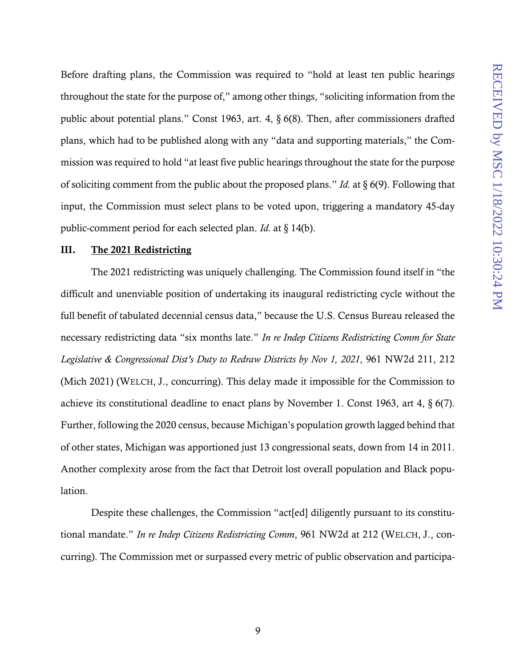Before drafting plans, the Commission was required to "hold at least ten public hearings throughout the state for the purpose of," among other things, "soliciting information from the public about potential plans." Const 1963, art. 4, § 6(8). Then, after commissioners drafted plans, which had to be published along with any "data and supporting materials," the Commission was required to hold "at least five public hearings throughout the state for the purpose of soliciting comment from the public about the proposed plans." *Id.* at § 6(9). Following that input, the Commission must select plans to be voted upon, triggering a mandatory 45-day public-comment period for each selected plan. *Id.* at § 14(b).

## <span id="page-16-0"></span>III. The 2021 Redistricting

The 2021 redistricting was uniquely challenging. The Commission found itself in "the difficult and unenviable position of undertaking its inaugural redistricting cycle without the full benefit of tabulated decennial census data," because the U.S. Census Bureau released the necessary redistricting data "six months late." *In re Indep Citizens Redistricting Comm for State Legislative & Congressional Dist's Duty to Redraw Districts by Nov 1, 2021*, 961 NW2d 211, 212 (Mich 2021) (WELCH, J., concurring). This delay made it impossible for the Commission to achieve its constitutional deadline to enact plans by November 1. Const 1963, art 4, § 6(7). Further, following the 2020 census, because Michigan's population growth lagged behind that of other states, Michigan was apportioned just 13 congressional seats, down from 14 in 2011. Another complexity arose from the fact that Detroit lost overall population and Black population.

Despite these challenges, the Commission "act[ed] diligently pursuant to its constitutional mandate." *In re Indep Citizens Redistricting Comm*, 961 NW2d at 212 (WELCH, J., concurring). The Commission met or surpassed every metric of public observation and participa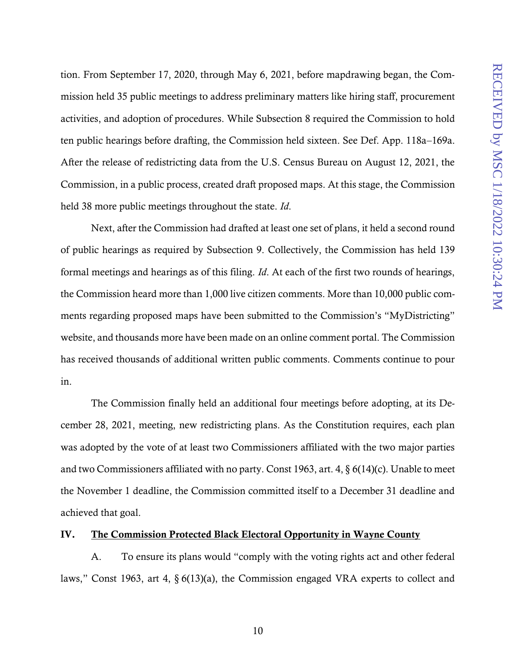tion. From September 17, 2020, through May 6, 2021, before mapdrawing began, the Commission held 35 public meetings to address preliminary matters like hiring staff, procurement activities, and adoption of procedures. While Subsection 8 required the Commission to hold ten public hearings before drafting, the Commission held sixteen. See Def. App. 118a–169a. After the release of redistricting data from the U.S. Census Bureau on August 12, 2021, the Commission, in a public process, created draft proposed maps. At this stage, the Commission held 38 more public meetings throughout the state. *Id*.

Next, after the Commission had drafted at least one set of plans, it held a second round of public hearings as required by Subsection 9. Collectively, the Commission has held 139 formal meetings and hearings as of this filing. *Id*. At each of the first two rounds of hearings, the Commission heard more than 1,000 live citizen comments. More than 10,000 public comments regarding proposed maps have been submitted to the Commission's "MyDistricting" website, and thousands more have been made on an online comment portal. The Commission has received thousands of additional written public comments. Comments continue to pour in.

The Commission finally held an additional four meetings before adopting, at its December 28, 2021, meeting, new redistricting plans. As the Constitution requires, each plan was adopted by the vote of at least two Commissioners affiliated with the two major parties and two Commissioners affiliated with no party. Const 1963, art. 4, § 6(14)(c). Unable to meet the November 1 deadline, the Commission committed itself to a December 31 deadline and achieved that goal.

## <span id="page-17-0"></span>IV. The Commission Protected Black Electoral Opportunity in Wayne County

A. To ensure its plans would "comply with the voting rights act and other federal laws," Const 1963, art 4, § 6(13)(a), the Commission engaged VRA experts to collect and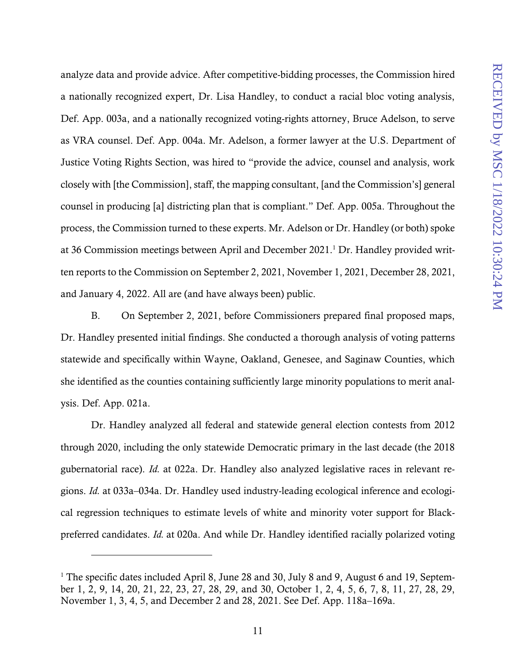analyze data and provide advice. After competitive-bidding processes, the Commission hired a nationally recognized expert, Dr. Lisa Handley, to conduct a racial bloc voting analysis, Def. App. 003a, and a nationally recognized voting-rights attorney, Bruce Adelson, to serve as VRA counsel. Def. App. 004a. Mr. Adelson, a former lawyer at the U.S. Department of Justice Voting Rights Section, was hired to "provide the advice, counsel and analysis, work closely with [the Commission], staff, the mapping consultant, [and the Commission's] general counsel in producing [a] districting plan that is compliant." Def. App. 005a. Throughout the process, the Commission turned to these experts. Mr. Adelson or Dr. Handley (or both) spoke at 36 Commission meetings between April and December 2021.<sup>1</sup> Dr. Handley provided written reports to the Commission on September 2, 2021, November 1, 2021, December 28, 2021, and January 4, 2022. All are (and have always been) public.

B. On September 2, 2021, before Commissioners prepared final proposed maps, Dr. Handley presented initial findings. She conducted a thorough analysis of voting patterns statewide and specifically within Wayne, Oakland, Genesee, and Saginaw Counties, which she identified as the counties containing sufficiently large minority populations to merit analysis. Def. App. 021a.

Dr. Handley analyzed all federal and statewide general election contests from 2012 through 2020, including the only statewide Democratic primary in the last decade (the 2018 gubernatorial race). *Id.* at 022a. Dr. Handley also analyzed legislative races in relevant regions. *Id.* at 033a–034a. Dr. Handley used industry-leading ecological inference and ecological regression techniques to estimate levels of white and minority voter support for Blackpreferred candidates. *Id.* at 020a. And while Dr. Handley identified racially polarized voting

l

<sup>&</sup>lt;sup>1</sup> The specific dates included April 8, June 28 and 30, July 8 and 9, August 6 and 19, September 1, 2, 9, 14, 20, 21, 22, 23, 27, 28, 29, and 30, October 1, 2, 4, 5, 6, 7, 8, 11, 27, 28, 29, November 1, 3, 4, 5, and December 2 and 28, 2021. See Def. App. 118a–169a.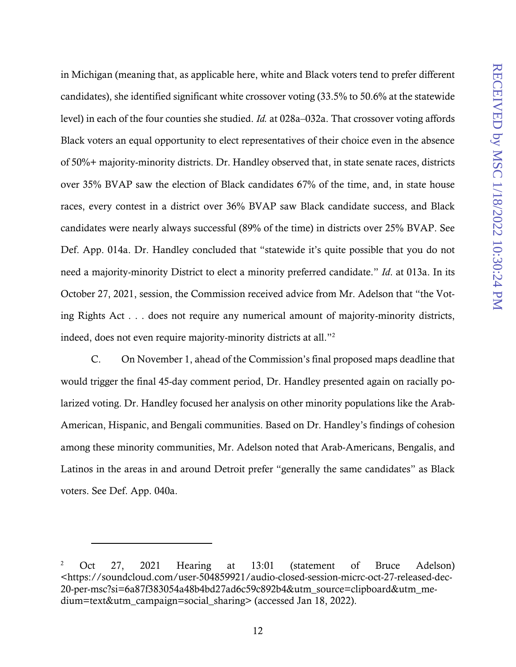in Michigan (meaning that, as applicable here, white and Black voters tend to prefer different candidates), she identified significant white crossover voting (33.5% to 50.6% at the statewide level) in each of the four counties she studied. *Id.* at 028a–032a. That crossover voting affords Black voters an equal opportunity to elect representatives of their choice even in the absence of 50%+ majority-minority districts. Dr. Handley observed that, in state senate races, districts over 35% BVAP saw the election of Black candidates 67% of the time, and, in state house races, every contest in a district over 36% BVAP saw Black candidate success, and Black candidates were nearly always successful (89% of the time) in districts over 25% BVAP. See Def. App. 014a. Dr. Handley concluded that "statewide it's quite possible that you do not need a majority-minority District to elect a minority preferred candidate." *Id*. at 013a. In its October 27, 2021, session, the Commission received advice from Mr. Adelson that "the Voting Rights Act . . . does not require any numerical amount of majority-minority districts, indeed, does not even require majority-minority districts at all."<sup>2</sup>

C. On November 1, ahead of the Commission's final proposed maps deadline that would trigger the final 45-day comment period, Dr. Handley presented again on racially polarized voting. Dr. Handley focused her analysis on other minority populations like the Arab-American, Hispanic, and Bengali communities. Based on Dr. Handley's findings of cohesion among these minority communities, Mr. Adelson noted that Arab-Americans, Bengalis, and Latinos in the areas in and around Detroit prefer "generally the same candidates" as Black voters. See Def. App. 040a.

<sup>&</sup>lt;sup>2</sup> Oct 27, 2021 Hearing at 13:01 (statement of Bruce Adelson) <https://soundcloud.com/user-504859921/audio-closed-session-micrc-oct-27-released-dec-20-per-msc?si=6a87f383054a48b4bd27ad6c59c892b4&utm\_source=clipboard&utm\_medium=text&utm\_campaign=social\_sharing> (accessed Jan 18, 2022).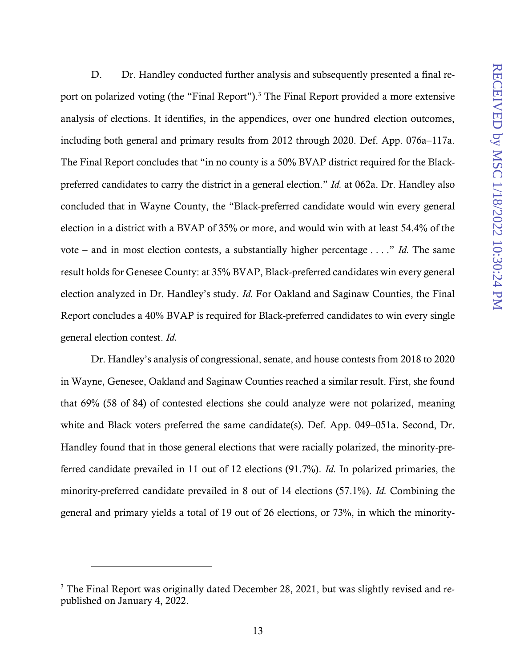D. Dr. Handley conducted further analysis and subsequently presented a final report on polarized voting (the "Final Report").<sup>3</sup> The Final Report provided a more extensive analysis of elections. It identifies, in the appendices, over one hundred election outcomes, including both general and primary results from 2012 through 2020. Def. App. 076a–117a. The Final Report concludes that "in no county is a 50% BVAP district required for the Blackpreferred candidates to carry the district in a general election." *Id.* at 062a. Dr. Handley also concluded that in Wayne County, the "Black-preferred candidate would win every general election in a district with a BVAP of 35% or more, and would win with at least 54.4% of the vote – and in most election contests, a substantially higher percentage . . . ." *Id.* The same result holds for Genesee County: at 35% BVAP, Black-preferred candidates win every general election analyzed in Dr. Handley's study. *Id.* For Oakland and Saginaw Counties, the Final Report concludes a 40% BVAP is required for Black-preferred candidates to win every single general election contest. *Id.* 

Dr. Handley's analysis of congressional, senate, and house contests from 2018 to 2020 in Wayne, Genesee, Oakland and Saginaw Counties reached a similar result. First, she found that 69% (58 of 84) of contested elections she could analyze were not polarized, meaning white and Black voters preferred the same candidate(s). Def. App. 049–051a. Second, Dr. Handley found that in those general elections that were racially polarized, the minority-preferred candidate prevailed in 11 out of 12 elections (91.7%). *Id.* In polarized primaries, the minority-preferred candidate prevailed in 8 out of 14 elections (57.1%). *Id.* Combining the general and primary yields a total of 19 out of 26 elections, or 73%, in which the minority-

l

<sup>&</sup>lt;sup>3</sup> The Final Report was originally dated December 28, 2021, but was slightly revised and republished on January 4, 2022.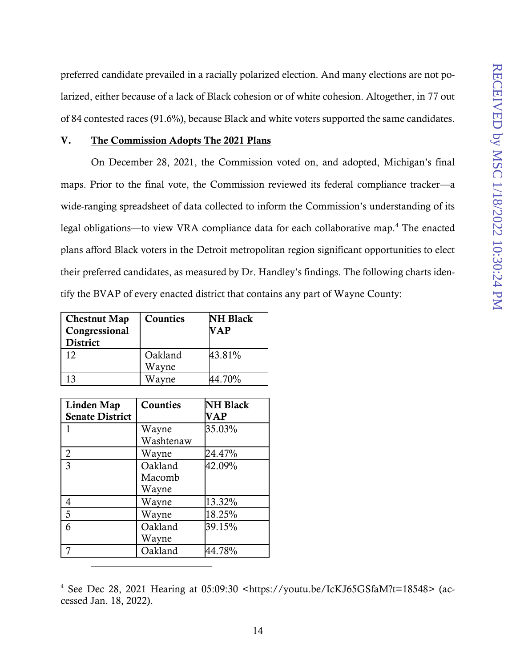preferred candidate prevailed in a racially polarized election. And many elections are not polarized, either because of a lack of Black cohesion or of white cohesion. Altogether, in 77 out of 84 contested races (91.6%), because Black and white voters supported the same candidates.

### <span id="page-21-0"></span>V. The Commission Adopts The 2021 Plans

On December 28, 2021, the Commission voted on, and adopted, Michigan's final maps. Prior to the final vote, the Commission reviewed its federal compliance tracker—a wide-ranging spreadsheet of data collected to inform the Commission's understanding of its legal obligations—to view VRA compliance data for each collaborative map.<sup>4</sup> The enacted plans afford Black voters in the Detroit metropolitan region significant opportunities to elect their preferred candidates, as measured by Dr. Handley's findings. The following charts identify the BVAP of every enacted district that contains any part of Wayne County:

| <b>Chestnut Map</b><br>Congressional<br><b>District</b> | Counties         | <b>NH Black</b><br>VAP |
|---------------------------------------------------------|------------------|------------------------|
| 12                                                      | Oakland<br>Wayne | 43.81%                 |
| 3                                                       | Wayne            | 44.70%                 |

| Linden Map             | Counties  | <b>NH Black</b> |
|------------------------|-----------|-----------------|
| <b>Senate District</b> |           | VAP             |
|                        | Wayne     | 35.03%          |
|                        | Washtenaw |                 |
| $\overline{2}$         | Wayne     | 24.47%          |
| $\overline{3}$         | Oakland   | 42.09%          |
|                        | Macomb    |                 |
|                        | Wayne     |                 |
| 4                      | Wayne     | 13.32%          |
| 5                      | Wayne     | 18.25%          |
| 6                      | Oakland   | 39.15%          |
|                        | Wayne     |                 |
|                        | Oakland   | 44.78%          |
|                        |           |                 |

<sup>4</sup> See Dec 28, 2021 Hearing at 05:09:30 <https://youtu.be/IcKJ65GSfaM?t=18548> (accessed Jan. 18, 2022).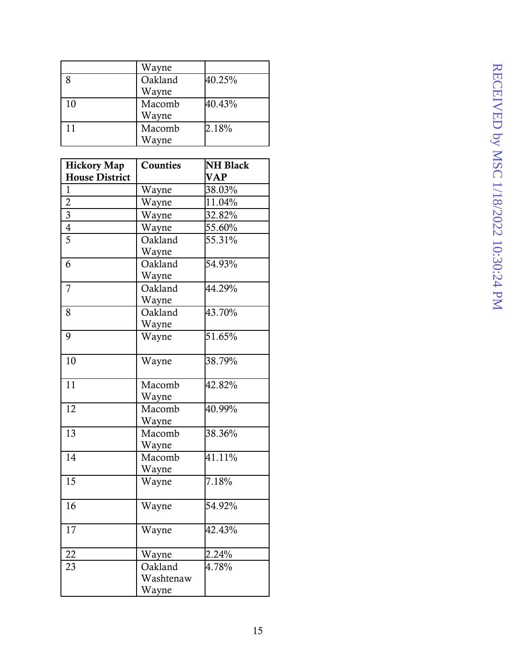|    | Wayne   |        |
|----|---------|--------|
|    | Oakland | 40.25% |
|    | Wayne   |        |
| 10 | Macomb  | 40.43% |
|    | Wayne   |        |
| 11 | Macomb  | 2.18%  |
|    | Wayne   |        |

| <b>Hickory Map</b><br><b>House District</b> | <b>Counties</b> | <b>NH Black</b><br><b>VAP</b> |
|---------------------------------------------|-----------------|-------------------------------|
| 1                                           | Wayne           | 38.03%                        |
| $\overline{2}$                              | Wayne           | 11.04%                        |
| $\overline{3}$                              | Wayne           | 32.82%                        |
| $\overline{4}$                              | Wayne           | 55.60%                        |
| 5                                           | Oakland         | 55.31%                        |
|                                             | Wayne           |                               |
| 6                                           | Oakland         | 54.93%                        |
|                                             | Wayne           |                               |
| $\overline{7}$                              | Oakland         | 44.29%                        |
|                                             | Wayne           |                               |
| 8                                           | Oakland         | 43.70%                        |
|                                             | Wayne           |                               |
| 9                                           | Wayne           | 51.65%                        |
|                                             |                 |                               |
| 10                                          | Wayne           | 38.79%                        |
|                                             |                 |                               |
| 11                                          | Macomb          | 42.82%                        |
|                                             | Wayne           |                               |
| 12                                          | Macomb          | 40.99%                        |
|                                             | Wayne           |                               |
| 13                                          | Macomb          | 38.36%                        |
|                                             | Wayne           |                               |
| 14                                          | Macomb          | 41.11%                        |
|                                             | Wayne           |                               |
| 15                                          | Wayne           | 7.18%                         |
| 16                                          | Wayne           | 54.92%                        |
|                                             |                 |                               |
| 17                                          | Wayne           | 42.43%                        |
|                                             |                 |                               |
| 22                                          | Wayne           | 2.24%                         |
| 23                                          | Oakland         | 4.78%                         |
|                                             | Washtenaw       |                               |
|                                             | Wayne           |                               |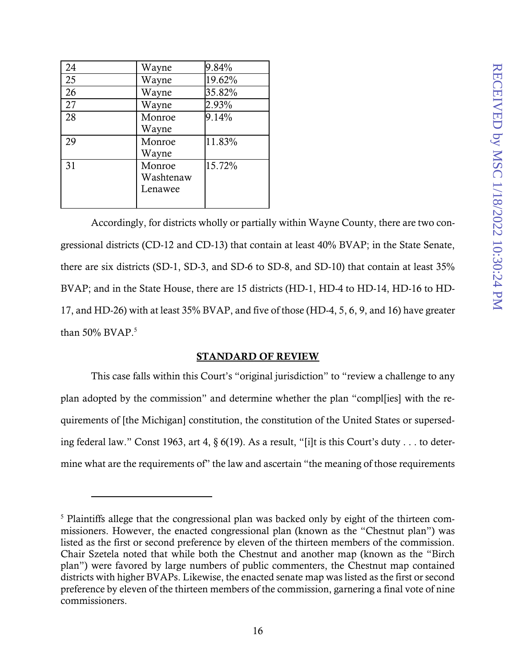| 24 | Wayne                          | 9.84%  |
|----|--------------------------------|--------|
| 25 | Wayne                          | 19.62% |
| 26 | Wayne                          | 35.82% |
| 27 | Wayne                          | 2.93%  |
| 28 | Monroe<br>Wayne                | 9.14%  |
| 29 | Monroe<br>Wayne                | 11.83% |
| 31 | Monroe<br>Washtenaw<br>Lenawee | 15.72% |

 $\overline{a}$ 

Accordingly, for districts wholly or partially within Wayne County, there are two congressional districts (CD-12 and CD-13) that contain at least 40% BVAP; in the State Senate, there are six districts (SD-1, SD-3, and SD-6 to SD-8, and SD-10) that contain at least 35% BVAP; and in the State House, there are 15 districts (HD-1, HD-4 to HD-14, HD-16 to HD-17, and HD-26) with at least 35% BVAP, and five of those (HD-4, 5, 6, 9, and 16) have greater than 50% BVAP.<sup>5</sup>

#### STANDARD OF REVIEW

This case falls within this Court's "original jurisdiction" to "review a challenge to any plan adopted by the commission" and determine whether the plan "compl[ies] with the requirements of [the Michigan] constitution, the constitution of the United States or superseding federal law." Const 1963, art 4, § 6(19). As a result, "[i]t is this Court's duty . . . to determine what are the requirements of" the law and ascertain "the meaning of those requirements

<sup>&</sup>lt;sup>5</sup> Plaintiffs allege that the congressional plan was backed only by eight of the thirteen commissioners. However, the enacted congressional plan (known as the "Chestnut plan") was listed as the first or second preference by eleven of the thirteen members of the commission. Chair Szetela noted that while both the Chestnut and another map (known as the "Birch plan") were favored by large numbers of public commenters, the Chestnut map contained districts with higher BVAPs. Likewise, the enacted senate map was listed as the first or second preference by eleven of the thirteen members of the commission, garnering a final vote of nine commissioners.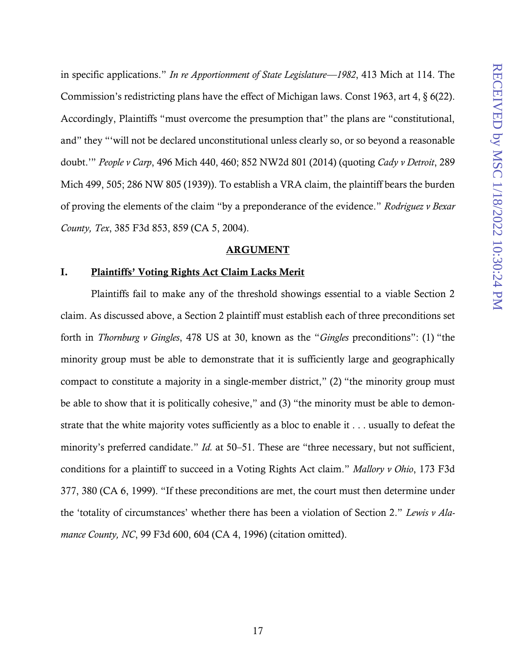in specific applications." *In re Apportionment of State Legislature—1982*, 413 Mich at 114. The Commission's redistricting plans have the effect of Michigan laws. Const 1963, art 4, § 6(22). Accordingly, Plaintiffs "must overcome the presumption that" the plans are "constitutional, and" they "'will not be declared unconstitutional unless clearly so, or so beyond a reasonable doubt.'" *People v Carp*, 496 Mich 440, 460; 852 NW2d 801 (2014) (quoting *Cady v Detroit*, 289 Mich 499, 505; 286 NW 805 (1939)). To establish a VRA claim, the plaintiff bears the burden of proving the elements of the claim "by a preponderance of the evidence." *Rodriguez v Bexar County, Tex*, 385 F3d 853, 859 (CA 5, 2004).

#### **ARGUMENT**

#### <span id="page-24-1"></span><span id="page-24-0"></span>I. Plaintiffs' Voting Rights Act Claim Lacks Merit

Plaintiffs fail to make any of the threshold showings essential to a viable Section 2 claim. As discussed above, a Section 2 plaintiff must establish each of three preconditions set forth in *Thornburg v Gingles*, 478 US at 30, known as the "*Gingles* preconditions": (1) "the minority group must be able to demonstrate that it is sufficiently large and geographically compact to constitute a majority in a single-member district," (2) "the minority group must be able to show that it is politically cohesive," and (3) "the minority must be able to demonstrate that the white majority votes sufficiently as a bloc to enable it . . . usually to defeat the minority's preferred candidate." *Id.* at 50–51. These are "three necessary, but not sufficient, conditions for a plaintiff to succeed in a Voting Rights Act claim." *Mallory v Ohio*, 173 F3d 377, 380 (CA 6, 1999). "If these preconditions are met, the court must then determine under the 'totality of circumstances' whether there has been a violation of Section 2." *Lewis v Alamance County, NC*, 99 F3d 600, 604 (CA 4, 1996) (citation omitted).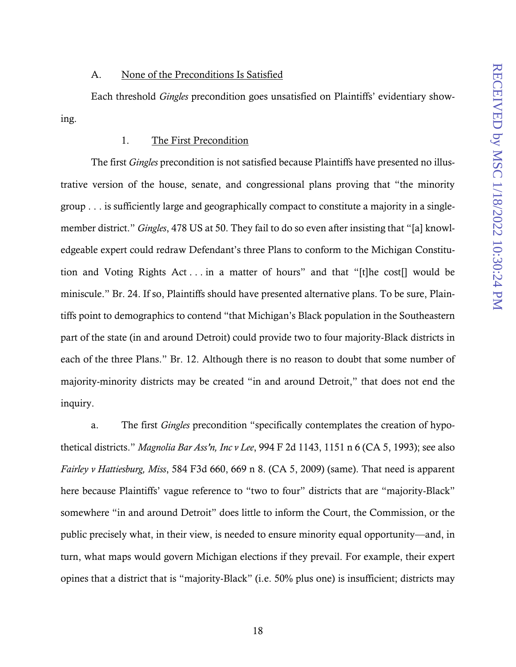#### A. None of the Preconditions Is Satisfied

<span id="page-25-0"></span>Each threshold *Gingles* precondition goes unsatisfied on Plaintiffs' evidentiary showing.

## 1. The First Precondition

<span id="page-25-1"></span>The first *Gingles* precondition is not satisfied because Plaintiffs have presented no illustrative version of the house, senate, and congressional plans proving that "the minority group . . . is sufficiently large and geographically compact to constitute a majority in a singlemember district." *Gingles*, 478 US at 50. They fail to do so even after insisting that "[a] knowledgeable expert could redraw Defendant's three Plans to conform to the Michigan Constitution and Voting Rights Act . . . in a matter of hours" and that "[t]he cost[] would be miniscule." Br. 24. If so, Plaintiffs should have presented alternative plans. To be sure, Plaintiffs point to demographics to contend "that Michigan's Black population in the Southeastern part of the state (in and around Detroit) could provide two to four majority-Black districts in each of the three Plans." Br. 12. Although there is no reason to doubt that some number of majority-minority districts may be created "in and around Detroit," that does not end the inquiry.

a. The first *Gingles* precondition "specifically contemplates the creation of hypothetical districts." *Magnolia Bar Ass'n, Inc v Lee*, 994 F 2d 1143, 1151 n 6 (CA 5, 1993); see also *Fairley v Hattiesburg, Miss*, 584 F3d 660, 669 n 8. (CA 5, 2009) (same). That need is apparent here because Plaintiffs' vague reference to "two to four" districts that are "majority-Black" somewhere "in and around Detroit" does little to inform the Court, the Commission, or the public precisely what, in their view, is needed to ensure minority equal opportunity—and, in turn, what maps would govern Michigan elections if they prevail. For example, their expert opines that a district that is "majority-Black" (i.e. 50% plus one) is insufficient; districts may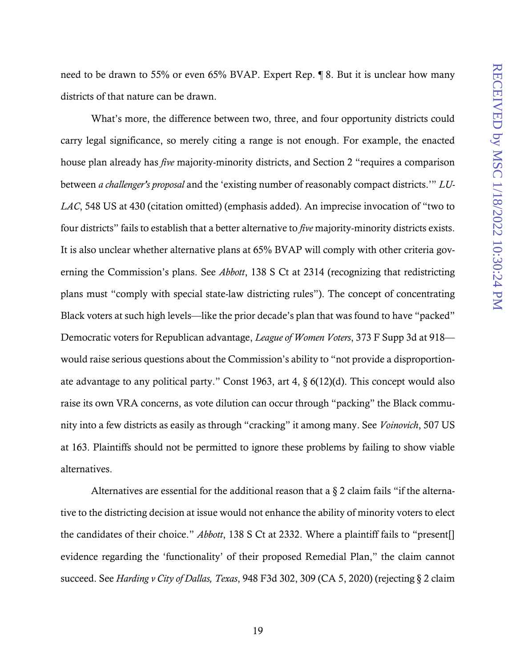need to be drawn to 55% or even 65% BVAP. Expert Rep. ¶ 8. But it is unclear how many districts of that nature can be drawn.

What's more, the difference between two, three, and four opportunity districts could carry legal significance, so merely citing a range is not enough. For example, the enacted house plan already has *five* majority-minority districts, and Section 2 "requires a comparison between *a challenger's proposal* and the 'existing number of reasonably compact districts.'" *LU-LAC*, 548 US at 430 (citation omitted) (emphasis added). An imprecise invocation of "two to four districts" fails to establish that a better alternative to *five* majority-minority districts exists. It is also unclear whether alternative plans at 65% BVAP will comply with other criteria governing the Commission's plans. See *Abbott*, 138 S Ct at 2314 (recognizing that redistricting plans must "comply with special state-law districting rules"). The concept of concentrating Black voters at such high levels—like the prior decade's plan that was found to have "packed" Democratic voters for Republican advantage, *League of Women Voters*, 373 F Supp 3d at 918 would raise serious questions about the Commission's ability to "not provide a disproportionate advantage to any political party." Const 1963, art 4, § 6(12)(d). This concept would also raise its own VRA concerns, as vote dilution can occur through "packing" the Black community into a few districts as easily as through "cracking" it among many. See *Voinovich*, 507 US at 163. Plaintiffs should not be permitted to ignore these problems by failing to show viable alternatives.

Alternatives are essential for the additional reason that a  $\S 2$  claim fails "if the alternative to the districting decision at issue would not enhance the ability of minority voters to elect the candidates of their choice." *Abbott*, 138 S Ct at 2332. Where a plaintiff fails to "present[] evidence regarding the 'functionality' of their proposed Remedial Plan," the claim cannot succeed. See *Harding v City of Dallas, Texas*, 948 F3d 302, 309 (CA 5, 2020) (rejecting § 2 claim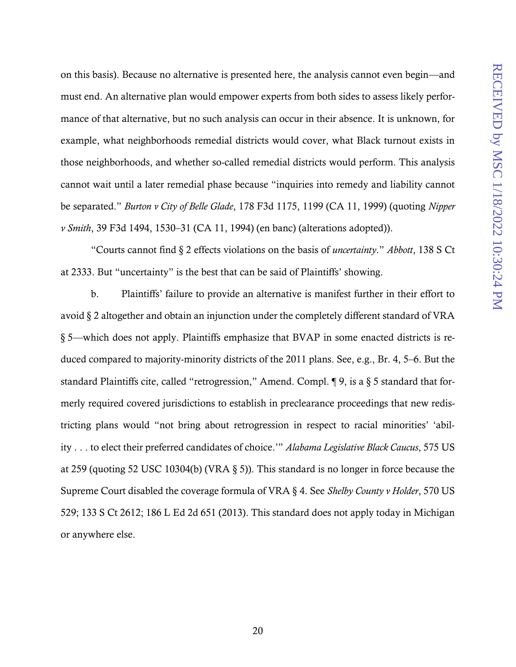on this basis). Because no alternative is presented here, the analysis cannot even begin—and must end. An alternative plan would empower experts from both sides to assess likely performance of that alternative, but no such analysis can occur in their absence. It is unknown, for example, what neighborhoods remedial districts would cover, what Black turnout exists in those neighborhoods, and whether so-called remedial districts would perform. This analysis cannot wait until a later remedial phase because "inquiries into remedy and liability cannot be separated." *Burton v City of Belle Glade*, 178 F3d 1175, 1199 (CA 11, 1999) (quoting *Nipper v Smith*, 39 F3d 1494, 1530–31 (CA 11, 1994) (en banc) (alterations adopted)).

"Courts cannot find § 2 effects violations on the basis of *uncertainty*." *Abbott*, 138 S Ct at 2333. But "uncertainty" is the best that can be said of Plaintiffs' showing.

b. Plaintiffs' failure to provide an alternative is manifest further in their effort to avoid § 2 altogether and obtain an injunction under the completely different standard of VRA § 5—which does not apply. Plaintiffs emphasize that BVAP in some enacted districts is reduced compared to majority-minority districts of the 2011 plans. See, e.g., Br. 4, 5–6. But the standard Plaintiffs cite, called "retrogression," Amend. Compl. ¶ 9, is a § 5 standard that formerly required covered jurisdictions to establish in preclearance proceedings that new redistricting plans would "not bring about retrogression in respect to racial minorities' 'ability . . . to elect their preferred candidates of choice.'" *Alabama Legislative Black Caucus*, 575 US at 259 (quoting 52 USC 10304(b) (VRA § 5)). This standard is no longer in force because the Supreme Court disabled the coverage formula of VRA § 4. See *Shelby County v Holder*, 570 US 529; 133 S Ct 2612; 186 L Ed 2d 651 (2013). This standard does not apply today in Michigan or anywhere else.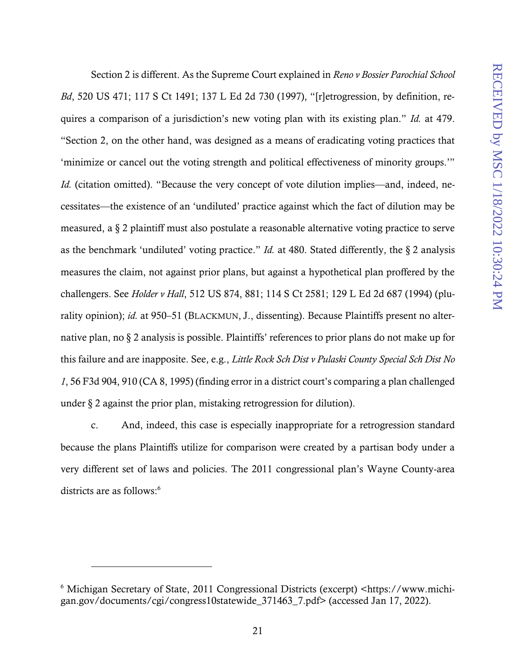Section 2 is different. As the Supreme Court explained in *Reno v Bossier Parochial School Bd*, 520 US 471; 117 S Ct 1491; 137 L Ed 2d 730 (1997), "[r]etrogression, by definition, requires a comparison of a jurisdiction's new voting plan with its existing plan." *Id.* at 479. "Section 2, on the other hand, was designed as a means of eradicating voting practices that 'minimize or cancel out the voting strength and political effectiveness of minority groups.'" *Id.* (citation omitted). "Because the very concept of vote dilution implies—and, indeed, necessitates—the existence of an 'undiluted' practice against which the fact of dilution may be measured, a § 2 plaintiff must also postulate a reasonable alternative voting practice to serve as the benchmark 'undiluted' voting practice." *Id.* at 480. Stated differently, the § 2 analysis measures the claim, not against prior plans, but against a hypothetical plan proffered by the challengers. See *Holder v Hall*, 512 US 874, 881; 114 S Ct 2581; 129 L Ed 2d 687 (1994) (plurality opinion); *id.* at 950–51 (BLACKMUN, J., dissenting). Because Plaintiffs present no alternative plan, no § 2 analysis is possible. Plaintiffs' references to prior plans do not make up for this failure and are inapposite. See, e.g., *Little Rock Sch Dist v Pulaski County Special Sch Dist No 1*, 56 F3d 904, 910 (CA 8, 1995) (finding error in a district court's comparing a plan challenged under § 2 against the prior plan, mistaking retrogression for dilution).

c. And, indeed, this case is especially inappropriate for a retrogression standard because the plans Plaintiffs utilize for comparison were created by a partisan body under a very different set of laws and policies. The 2011 congressional plan's Wayne County-area districts are as follows:<sup>6</sup>

l

<sup>6</sup> Michigan Secretary of State, 2011 Congressional Districts (excerpt) <https://www.michigan.gov/documents/cgi/congress10statewide\_371463\_7.pdf> (accessed Jan 17, 2022).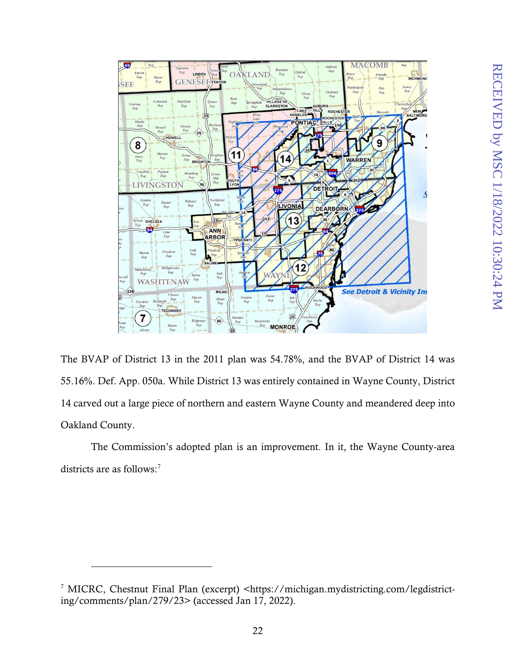

The BVAP of District 13 in the 2011 plan was 54.78%, and the BVAP of District 14 was 55.16%. Def. App. 050a. While District 13 was entirely contained in Wayne County, District 14 carved out a large piece of northern and eastern Wayne County and meandered deep into Oakland County.

The Commission's adopted plan is an improvement. In it, the Wayne County-area districts are as follows:<sup>7</sup>

l

<sup>&</sup>lt;sup>7</sup> MICRC, Chestnut Final Plan (excerpt) <https://michigan.mydistricting.com/legdistricting/comments/plan/279/23> (accessed Jan 17, 2022).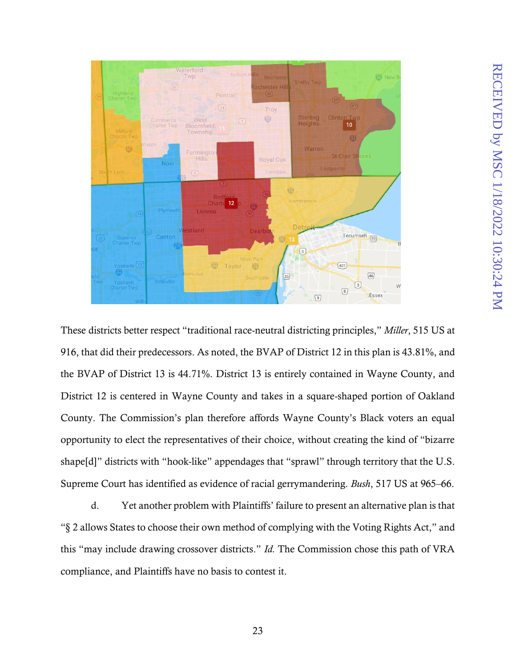

RECEIVED by MSC 1/18/2022 10:30:24 PM RECEIVED by MSC 1/18/2022 10:30:24 PM

These districts better respect "traditional race-neutral districting principles," *Miller*, 515 US at 916, that did their predecessors. As noted, the BVAP of District 12 in this plan is 43.81%, and the BVAP of District 13 is 44.71%. District 13 is entirely contained in Wayne County, and District 12 is centered in Wayne County and takes in a square-shaped portion of Oakland County. The Commission's plan therefore affords Wayne County's Black voters an equal opportunity to elect the representatives of their choice, without creating the kind of "bizarre shape[d]" districts with "hook-like" appendages that "sprawl" through territory that the U.S. Supreme Court has identified as evidence of racial gerrymandering. *Bush*, 517 US at 965–66.

d. Yet another problem with Plaintiffs' failure to present an alternative plan is that "§ 2 allows States to choose their own method of complying with the Voting Rights Act," and this "may include drawing crossover districts." *Id.* The Commission chose this path of VRA compliance, and Plaintiffs have no basis to contest it.

23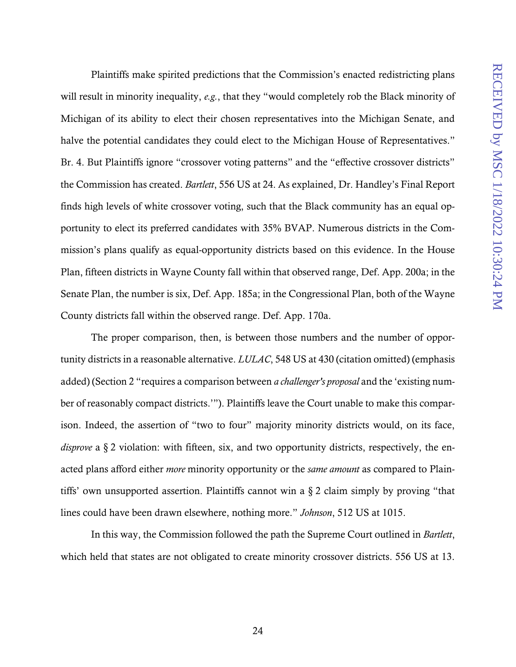Plaintiffs make spirited predictions that the Commission's enacted redistricting plans will result in minority inequality, *e.g.*, that they "would completely rob the Black minority of Michigan of its ability to elect their chosen representatives into the Michigan Senate, and halve the potential candidates they could elect to the Michigan House of Representatives." Br. 4. But Plaintiffs ignore "crossover voting patterns" and the "effective crossover districts" the Commission has created. *Bartlett*, 556 US at 24. As explained, Dr. Handley's Final Report finds high levels of white crossover voting, such that the Black community has an equal opportunity to elect its preferred candidates with 35% BVAP. Numerous districts in the Commission's plans qualify as equal-opportunity districts based on this evidence. In the House Plan, fifteen districts in Wayne County fall within that observed range, Def. App. 200a; in the Senate Plan, the number is six, Def. App. 185a; in the Congressional Plan, both of the Wayne County districts fall within the observed range. Def. App. 170a.

The proper comparison, then, is between those numbers and the number of opportunity districts in a reasonable alternative. *LULAC*, 548 US at 430 (citation omitted) (emphasis added) (Section 2 "requires a comparison between *a challenger's proposal* and the 'existing number of reasonably compact districts.'"). Plaintiffs leave the Court unable to make this comparison. Indeed, the assertion of "two to four" majority minority districts would, on its face, *disprove* a § 2 violation: with fifteen, six, and two opportunity districts, respectively, the enacted plans afford either *more* minority opportunity or the *same amount* as compared to Plaintiffs' own unsupported assertion. Plaintiffs cannot win a § 2 claim simply by proving "that lines could have been drawn elsewhere, nothing more." *Johnson*, 512 US at 1015.

In this way, the Commission followed the path the Supreme Court outlined in *Bartlett*, which held that states are not obligated to create minority crossover districts. 556 US at 13.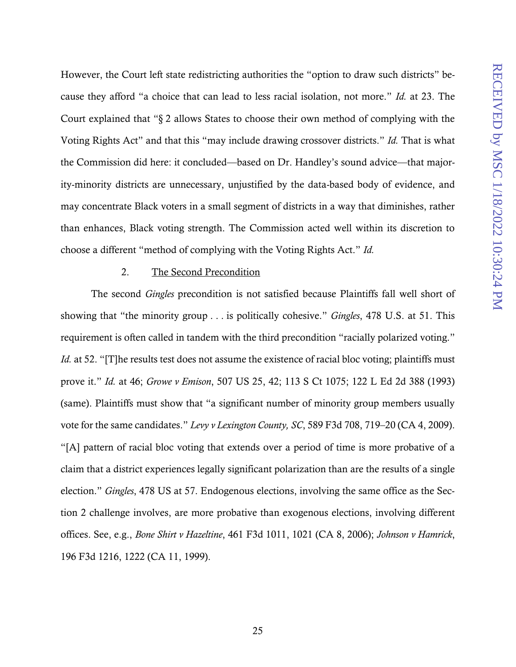However, the Court left state redistricting authorities the "option to draw such districts" because they afford "a choice that can lead to less racial isolation, not more." *Id.* at 23. The Court explained that "§ 2 allows States to choose their own method of complying with the Voting Rights Act" and that this "may include drawing crossover districts." *Id.* That is what the Commission did here: it concluded—based on Dr. Handley's sound advice—that majority-minority districts are unnecessary, unjustified by the data-based body of evidence, and may concentrate Black voters in a small segment of districts in a way that diminishes, rather than enhances, Black voting strength. The Commission acted well within its discretion to choose a different "method of complying with the Voting Rights Act." *Id.*

#### 2. The Second Precondition

<span id="page-32-0"></span>The second *Gingles* precondition is not satisfied because Plaintiffs fall well short of showing that "the minority group . . . is politically cohesive." *Gingles*, 478 U.S. at 51. This requirement is often called in tandem with the third precondition "racially polarized voting." *Id.* at 52. "[T]he results test does not assume the existence of racial bloc voting; plaintiffs must prove it." *Id.* at 46; *Growe v Emison*, 507 US 25, 42; 113 S Ct 1075; 122 L Ed 2d 388 (1993) (same). Plaintiffs must show that "a significant number of minority group members usually vote for the same candidates." *Levy v Lexington County, SC*, 589 F3d 708, 719–20 (CA 4, 2009). "[A] pattern of racial bloc voting that extends over a period of time is more probative of a claim that a district experiences legally significant polarization than are the results of a single election." *Gingles*, 478 US at 57. Endogenous elections, involving the same office as the Section 2 challenge involves, are more probative than exogenous elections, involving different offices. See, e.g., *Bone Shirt v Hazeltine*, 461 F3d 1011, 1021 (CA 8, 2006); *Johnson v Hamrick*, 196 F3d 1216, 1222 (CA 11, 1999).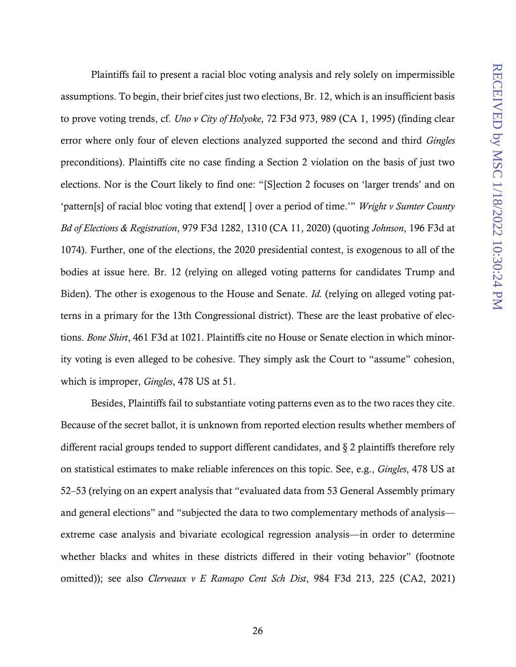Plaintiffs fail to present a racial bloc voting analysis and rely solely on impermissible assumptions. To begin, their brief cites just two elections, Br. 12, which is an insufficient basis to prove voting trends, cf. *Uno v City of Holyoke*, 72 F3d 973, 989 (CA 1, 1995) (finding clear error where only four of eleven elections analyzed supported the second and third *Gingles* preconditions). Plaintiffs cite no case finding a Section 2 violation on the basis of just two elections. Nor is the Court likely to find one: "[S]ection 2 focuses on 'larger trends' and on 'pattern[s] of racial bloc voting that extend[ ] over a period of time.'" *Wright v Sumter County Bd of Elections & Registration*, 979 F3d 1282, 1310 (CA 11, 2020) (quoting *Johnson*, 196 F3d at 1074). Further, one of the elections, the 2020 presidential contest, is exogenous to all of the bodies at issue here. Br. 12 (relying on alleged voting patterns for candidates Trump and Biden). The other is exogenous to the House and Senate. *Id.* (relying on alleged voting patterns in a primary for the 13th Congressional district). These are the least probative of elections. *Bone Shirt*, 461 F3d at 1021. Plaintiffs cite no House or Senate election in which minority voting is even alleged to be cohesive. They simply ask the Court to "assume" cohesion, which is improper, *Gingles*, 478 US at 51.

Besides, Plaintiffs fail to substantiate voting patterns even as to the two races they cite. Because of the secret ballot, it is unknown from reported election results whether members of different racial groups tended to support different candidates, and § 2 plaintiffs therefore rely on statistical estimates to make reliable inferences on this topic. See, e.g., *Gingles*, 478 US at 52–53 (relying on an expert analysis that "evaluated data from 53 General Assembly primary and general elections" and "subjected the data to two complementary methods of analysis extreme case analysis and bivariate ecological regression analysis—in order to determine whether blacks and whites in these districts differed in their voting behavior" (footnote omitted)); see also *Clerveaux v E Ramapo Cent Sch Dist*, 984 F3d 213, 225 (CA2, 2021)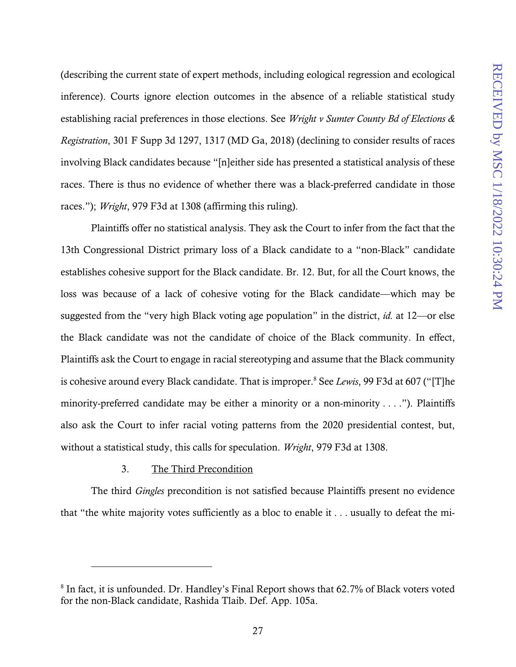(describing the current state of expert methods, including eological regression and ecological inference). Courts ignore election outcomes in the absence of a reliable statistical study establishing racial preferences in those elections. See *Wright v Sumter County Bd of Elections & Registration*, 301 F Supp 3d 1297, 1317 (MD Ga, 2018) (declining to consider results of races involving Black candidates because "[n]either side has presented a statistical analysis of these races. There is thus no evidence of whether there was a black-preferred candidate in those races."); *Wright*, 979 F3d at 1308 (affirming this ruling).

Plaintiffs offer no statistical analysis. They ask the Court to infer from the fact that the 13th Congressional District primary loss of a Black candidate to a "non-Black" candidate establishes cohesive support for the Black candidate. Br. 12. But, for all the Court knows, the loss was because of a lack of cohesive voting for the Black candidate—which may be suggested from the "very high Black voting age population" in the district, *id.* at 12—or else the Black candidate was not the candidate of choice of the Black community. In effect, Plaintiffs ask the Court to engage in racial stereotyping and assume that the Black community is cohesive around every Black candidate. That is improper.<sup>8</sup> See *Lewis*, 99 F3d at 607 ("[T]he minority-preferred candidate may be either a minority or a non-minority . . . ."). Plaintiffs also ask the Court to infer racial voting patterns from the 2020 presidential contest, but, without a statistical study, this calls for speculation. *Wright*, 979 F3d at 1308.

#### 3. The Third Precondition

l

<span id="page-34-0"></span>The third *Gingles* precondition is not satisfied because Plaintiffs present no evidence that "the white majority votes sufficiently as a bloc to enable it . . . usually to defeat the mi-

 $8$  In fact, it is unfounded. Dr. Handley's Final Report shows that 62.7% of Black voters voted for the non-Black candidate, Rashida Tlaib. Def. App. 105a.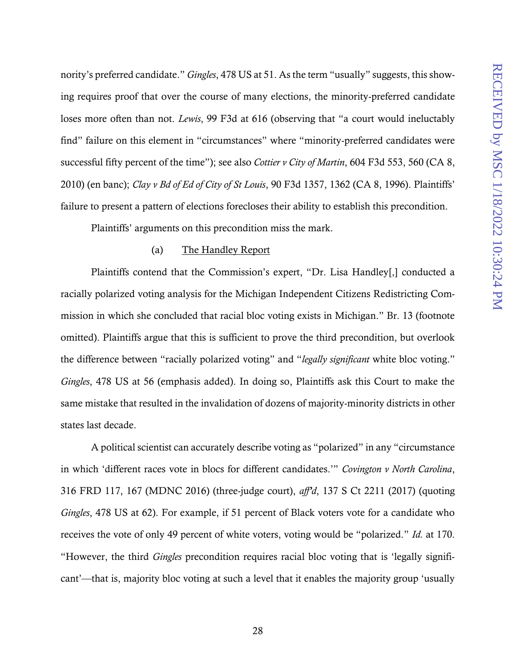nority's preferred candidate." *Gingles*, 478 US at 51. As the term "usually" suggests, this showing requires proof that over the course of many elections, the minority-preferred candidate loses more often than not. *Lewis*, 99 F3d at 616 (observing that "a court would ineluctably find" failure on this element in "circumstances" where "minority-preferred candidates were successful fifty percent of the time"); see also *Cottier v City of Martin*, 604 F3d 553, 560 (CA 8, 2010) (en banc); *Clay v Bd of Ed of City of St Louis*, 90 F3d 1357, 1362 (CA 8, 1996). Plaintiffs' failure to present a pattern of elections forecloses their ability to establish this precondition.

Plaintiffs' arguments on this precondition miss the mark.

## (a) The Handley Report

<span id="page-35-0"></span>Plaintiffs contend that the Commission's expert, "Dr. Lisa Handley[,] conducted a racially polarized voting analysis for the Michigan Independent Citizens Redistricting Commission in which she concluded that racial bloc voting exists in Michigan." Br. 13 (footnote omitted). Plaintiffs argue that this is sufficient to prove the third precondition, but overlook the difference between "racially polarized voting" and "*legally significant* white bloc voting." *Gingles*, 478 US at 56 (emphasis added). In doing so, Plaintiffs ask this Court to make the same mistake that resulted in the invalidation of dozens of majority-minority districts in other states last decade.

A political scientist can accurately describe voting as "polarized" in any "circumstance in which 'different races vote in blocs for different candidates.'" *Covington v North Carolina*, 316 FRD 117, 167 (MDNC 2016) (three-judge court), *aff'd*, 137 S Ct 2211 (2017) (quoting *Gingles*, 478 US at 62). For example, if 51 percent of Black voters vote for a candidate who receives the vote of only 49 percent of white voters, voting would be "polarized." *Id.* at 170. "However, the third *Gingles* precondition requires racial bloc voting that is 'legally significant'—that is, majority bloc voting at such a level that it enables the majority group 'usually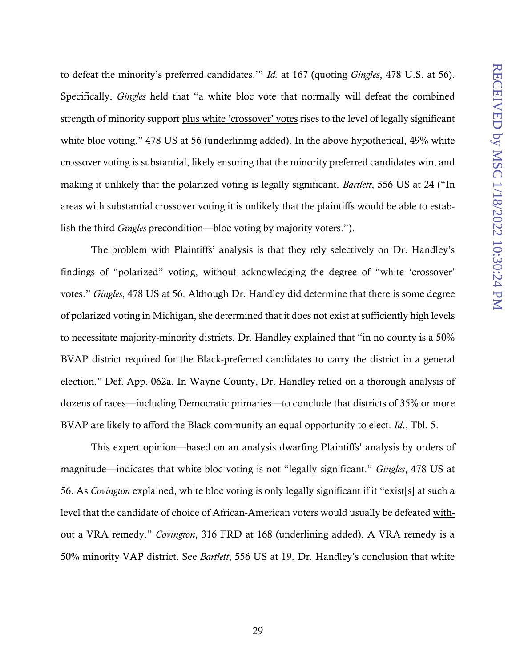to defeat the minority's preferred candidates.'" *Id.* at 167 (quoting *Gingles*, 478 U.S. at 56). Specifically, *Gingles* held that "a white bloc vote that normally will defeat the combined strength of minority support plus white 'crossover' votes rises to the level of legally significant white bloc voting." 478 US at 56 (underlining added). In the above hypothetical, 49% white crossover voting is substantial, likely ensuring that the minority preferred candidates win, and making it unlikely that the polarized voting is legally significant. *Bartlett*, 556 US at 24 ("In areas with substantial crossover voting it is unlikely that the plaintiffs would be able to establish the third *Gingles* precondition—bloc voting by majority voters.").

The problem with Plaintiffs' analysis is that they rely selectively on Dr. Handley's findings of "polarized" voting, without acknowledging the degree of "white 'crossover' votes." *Gingles*, 478 US at 56. Although Dr. Handley did determine that there is some degree of polarized voting in Michigan, she determined that it does not exist at sufficiently high levels to necessitate majority-minority districts. Dr. Handley explained that "in no county is a 50% BVAP district required for the Black-preferred candidates to carry the district in a general election." Def. App. 062a. In Wayne County, Dr. Handley relied on a thorough analysis of dozens of races—including Democratic primaries—to conclude that districts of 35% or more BVAP are likely to afford the Black community an equal opportunity to elect. *Id*., Tbl. 5.

This expert opinion—based on an analysis dwarfing Plaintiffs' analysis by orders of magnitude—indicates that white bloc voting is not "legally significant." *Gingles*, 478 US at 56. As *Covington* explained, white bloc voting is only legally significant if it "exist[s] at such a level that the candidate of choice of African-American voters would usually be defeated without a VRA remedy." *Covington*, 316 FRD at 168 (underlining added). A VRA remedy is a 50% minority VAP district. See *Bartlett*, 556 US at 19. Dr. Handley's conclusion that white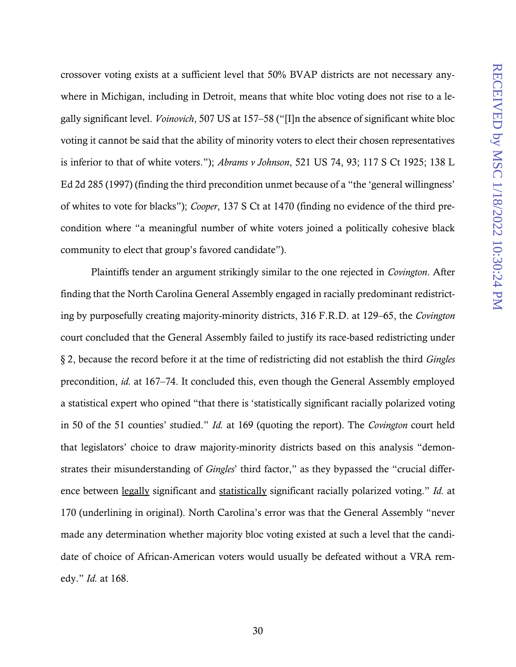crossover voting exists at a sufficient level that 50% BVAP districts are not necessary anywhere in Michigan, including in Detroit, means that white bloc voting does not rise to a legally significant level. *Voinovich*, 507 US at 157–58 ("[I]n the absence of significant white bloc voting it cannot be said that the ability of minority voters to elect their chosen representatives is inferior to that of white voters."); *Abrams v Johnson*, 521 US 74, 93; 117 S Ct 1925; 138 L Ed 2d 285 (1997) (finding the third precondition unmet because of a "the 'general willingness' of whites to vote for blacks"); *Cooper*, 137 S Ct at 1470 (finding no evidence of the third precondition where "a meaningful number of white voters joined a politically cohesive black community to elect that group's favored candidate").

Plaintiffs tender an argument strikingly similar to the one rejected in *Covington*. After finding that the North Carolina General Assembly engaged in racially predominant redistricting by purposefully creating majority-minority districts, 316 F.R.D. at 129–65, the *Covington* court concluded that the General Assembly failed to justify its race-based redistricting under § 2, because the record before it at the time of redistricting did not establish the third *Gingles* precondition, *id.* at 167–74. It concluded this, even though the General Assembly employed a statistical expert who opined "that there is 'statistically significant racially polarized voting in 50 of the 51 counties' studied." *Id.* at 169 (quoting the report). The *Covington* court held that legislators' choice to draw majority-minority districts based on this analysis "demonstrates their misunderstanding of *Gingles*' third factor," as they bypassed the "crucial difference between legally significant and statistically significant racially polarized voting." *Id.* at 170 (underlining in original). North Carolina's error was that the General Assembly "never made any determination whether majority bloc voting existed at such a level that the candidate of choice of African-American voters would usually be defeated without a VRA remedy." *Id.* at 168.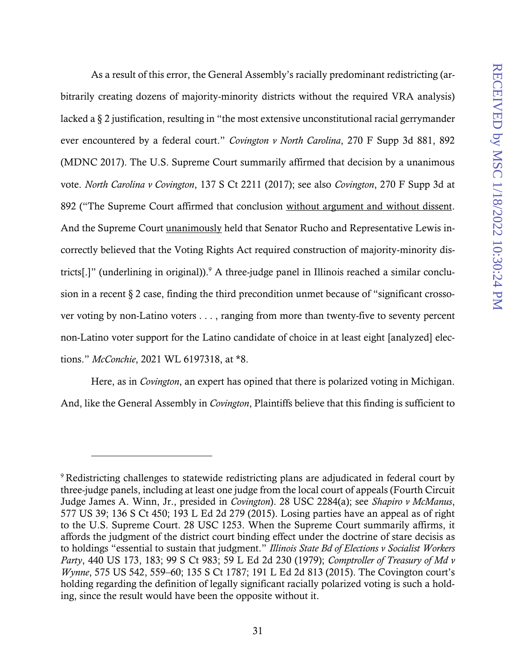As a result of this error, the General Assembly's racially predominant redistricting (arbitrarily creating dozens of majority-minority districts without the required VRA analysis) lacked a § 2 justification, resulting in "the most extensive unconstitutional racial gerrymander ever encountered by a federal court." *Covington v North Carolina*, 270 F Supp 3d 881, 892 (MDNC 2017). The U.S. Supreme Court summarily affirmed that decision by a unanimous vote. *North Carolina v Covington*, 137 S Ct 2211 (2017); see also *Covington*, 270 F Supp 3d at 892 ("The Supreme Court affirmed that conclusion without argument and without dissent. And the Supreme Court unanimously held that Senator Rucho and Representative Lewis incorrectly believed that the Voting Rights Act required construction of majority-minority districts[.]" (underlining in original)).<sup>9</sup> A three-judge panel in Illinois reached a similar conclusion in a recent  $\S 2$  case, finding the third precondition unmet because of "significant crossover voting by non-Latino voters . . . , ranging from more than twenty-five to seventy percent non-Latino voter support for the Latino candidate of choice in at least eight [analyzed] elections." *McConchie*, 2021 WL 6197318, at \*8.

Here, as in *Covington*, an expert has opined that there is polarized voting in Michigan. And, like the General Assembly in *Covington*, Plaintiffs believe that this finding is sufficient to

<sup>&</sup>lt;sup>9</sup> Redistricting challenges to statewide redistricting plans are adjudicated in federal court by three-judge panels, including at least one judge from the local court of appeals (Fourth Circuit Judge James A. Winn, Jr., presided in *Covington*). 28 USC 2284(a); see *Shapiro v McManus*, 577 US 39; 136 S Ct 450; 193 L Ed 2d 279 (2015). Losing parties have an appeal as of right to the U.S. Supreme Court. 28 USC 1253. When the Supreme Court summarily affirms, it affords the judgment of the district court binding effect under the doctrine of stare decisis as to holdings "essential to sustain that judgment." *Illinois State Bd of Elections v Socialist Workers Party*, 440 US 173, 183; 99 S Ct 983; 59 L Ed 2d 230 (1979); *Comptroller of Treasury of Md v Wynne*, 575 US 542, 559–60; 135 S Ct 1787; 191 L Ed 2d 813 (2015). The Covington court's holding regarding the definition of legally significant racially polarized voting is such a holding, since the result would have been the opposite without it.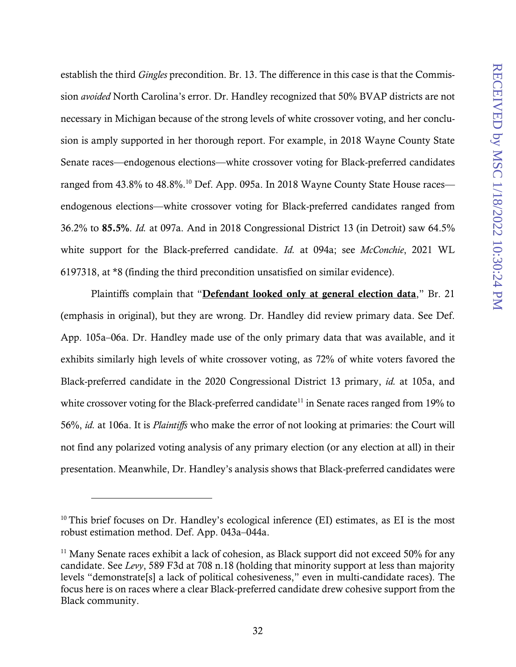establish the third *Gingles* precondition. Br. 13. The difference in this case is that the Commission *avoided* North Carolina's error. Dr. Handley recognized that 50% BVAP districts are not necessary in Michigan because of the strong levels of white crossover voting, and her conclusion is amply supported in her thorough report. For example, in 2018 Wayne County State Senate races—endogenous elections—white crossover voting for Black-preferred candidates ranged from 43.8% to 48.8%.<sup>10</sup> Def. App. 095a. In 2018 Wayne County State House races endogenous elections—white crossover voting for Black-preferred candidates ranged from 36.2% to 85.5%. *Id.* at 097a. And in 2018 Congressional District 13 (in Detroit) saw 64.5% white support for the Black-preferred candidate. *Id.* at 094a; see *McConchie*, 2021 WL 6197318, at \*8 (finding the third precondition unsatisfied on similar evidence).

Plaintiffs complain that "Defendant looked only at general election data," Br. 21 (emphasis in original), but they are wrong. Dr. Handley did review primary data. See Def. App. 105a–06a. Dr. Handley made use of the only primary data that was available, and it exhibits similarly high levels of white crossover voting, as 72% of white voters favored the Black-preferred candidate in the 2020 Congressional District 13 primary, *id.* at 105a, and white crossover voting for the Black-preferred candidate<sup>11</sup> in Senate races ranged from 19% to 56%, *id.* at 106a. It is *Plaintiffs* who make the error of not looking at primaries: the Court will not find any polarized voting analysis of any primary election (or any election at all) in their presentation. Meanwhile, Dr. Handley's analysis shows that Black-preferred candidates were

 $10$  This brief focuses on Dr. Handley's ecological inference (EI) estimates, as EI is the most robust estimation method. Def. App. 043a–044a.

 $11$  Many Senate races exhibit a lack of cohesion, as Black support did not exceed 50% for any candidate. See *Levy*, 589 F3d at 708 n.18 (holding that minority support at less than majority levels "demonstrate[s] a lack of political cohesiveness," even in multi-candidate races). The focus here is on races where a clear Black-preferred candidate drew cohesive support from the Black community.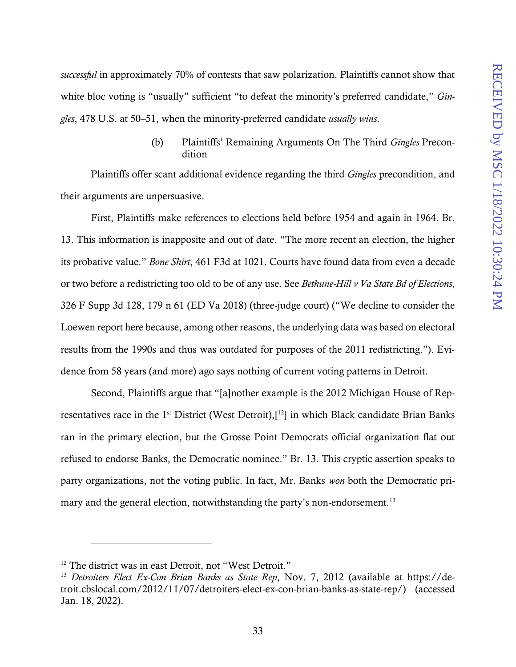*successful* in approximately 70% of contests that saw polarization. Plaintiffs cannot show that white bloc voting is "usually" sufficient "to defeat the minority's preferred candidate," *Gingles*, 478 U.S. at 50–51, when the minority-preferred candidate *usually wins*.

## (b) Plaintiffs' Remaining Arguments On The Third *Gingles* Precondition

<span id="page-40-0"></span>Plaintiffs offer scant additional evidence regarding the third *Gingles* precondition, and their arguments are unpersuasive.

First, Plaintiffs make references to elections held before 1954 and again in 1964. Br. 13. This information is inapposite and out of date. "The more recent an election, the higher its probative value." *Bone Shirt*, 461 F3d at 1021. Courts have found data from even a decade or two before a redistricting too old to be of any use. See *Bethune-Hill v Va State Bd of Elections*, 326 F Supp 3d 128, 179 n 61 (ED Va 2018) (three-judge court) ("We decline to consider the Loewen report here because, among other reasons, the underlying data was based on electoral results from the 1990s and thus was outdated for purposes of the 2011 redistricting."). Evidence from 58 years (and more) ago says nothing of current voting patterns in Detroit.

Second, Plaintiffs argue that "[a]nother example is the 2012 Michigan House of Representatives race in the 1<sup>st</sup> District (West Detroit), $[12]$  in which Black candidate Brian Banks ran in the primary election, but the Grosse Point Democrats official organization flat out refused to endorse Banks, the Democratic nominee." Br. 13. This cryptic assertion speaks to party organizations, not the voting public. In fact, Mr. Banks *won* both the Democratic primary and the general election, notwithstanding the party's non-endorsement.<sup>13</sup>

<sup>&</sup>lt;sup>12</sup> The district was in east Detroit, not "West Detroit."

<sup>&</sup>lt;sup>13</sup> Detroiters Elect Ex-Con Brian Banks as State Rep, Nov. 7, 2012 (available at https://detroit.cbslocal.com/2012/11/07/detroiters-elect-ex-con-brian-banks-as-state-rep/) (accessed Jan. 18, 2022).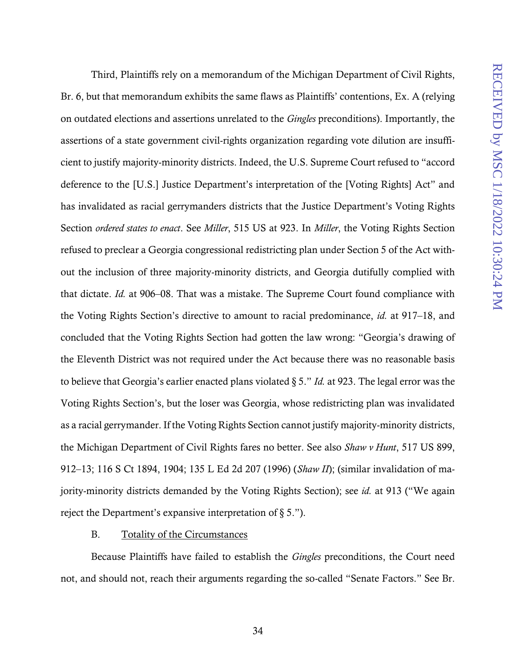Third, Plaintiffs rely on a memorandum of the Michigan Department of Civil Rights, Br. 6, but that memorandum exhibits the same flaws as Plaintiffs' contentions, Ex. A (relying on outdated elections and assertions unrelated to the *Gingles* preconditions). Importantly, the assertions of a state government civil-rights organization regarding vote dilution are insufficient to justify majority-minority districts. Indeed, the U.S. Supreme Court refused to "accord deference to the [U.S.] Justice Department's interpretation of the [Voting Rights] Act" and has invalidated as racial gerrymanders districts that the Justice Department's Voting Rights Section *ordered states to enact*. See *Miller*, 515 US at 923. In *Miller*, the Voting Rights Section refused to preclear a Georgia congressional redistricting plan under Section 5 of the Act without the inclusion of three majority-minority districts, and Georgia dutifully complied with that dictate. *Id.* at 906–08. That was a mistake. The Supreme Court found compliance with the Voting Rights Section's directive to amount to racial predominance, *id.* at 917–18, and concluded that the Voting Rights Section had gotten the law wrong: "Georgia's drawing of the Eleventh District was not required under the Act because there was no reasonable basis to believe that Georgia's earlier enacted plans violated § 5." *Id.* at 923. The legal error was the Voting Rights Section's, but the loser was Georgia, whose redistricting plan was invalidated as a racial gerrymander. If the Voting Rights Section cannot justify majority-minority districts, the Michigan Department of Civil Rights fares no better. See also *Shaw v Hunt*, 517 US 899, 912–13; 116 S Ct 1894, 1904; 135 L Ed 2d 207 (1996) (*Shaw II*); (similar invalidation of majority-minority districts demanded by the Voting Rights Section); see *id.* at 913 ("We again reject the Department's expansive interpretation of § 5.").

## B. Totality of the Circumstances

<span id="page-41-0"></span>Because Plaintiffs have failed to establish the *Gingles* preconditions, the Court need not, and should not, reach their arguments regarding the so-called "Senate Factors." See Br.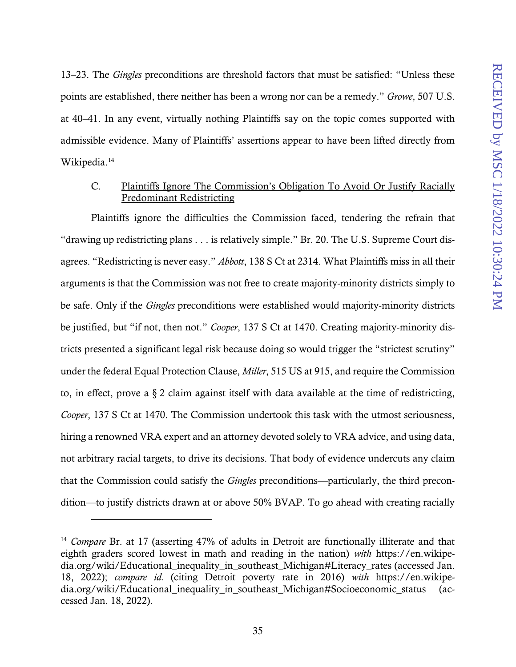13–23. The *Gingles* preconditions are threshold factors that must be satisfied: "Unless these points are established, there neither has been a wrong nor can be a remedy." *Growe*, 507 U.S. at 40–41. In any event, virtually nothing Plaintiffs say on the topic comes supported with admissible evidence. Many of Plaintiffs' assertions appear to have been lifted directly from Wikipedia.<sup>14</sup>

## <span id="page-42-0"></span>C. Plaintiffs Ignore The Commission's Obligation To Avoid Or Justify Racially Predominant Redistricting

Plaintiffs ignore the difficulties the Commission faced, tendering the refrain that "drawing up redistricting plans . . . is relatively simple." Br. 20. The U.S. Supreme Court disagrees. "Redistricting is never easy." *Abbott*, 138 S Ct at 2314. What Plaintiffs miss in all their arguments is that the Commission was not free to create majority-minority districts simply to be safe. Only if the *Gingles* preconditions were established would majority-minority districts be justified, but "if not, then not." *Cooper*, 137 S Ct at 1470. Creating majority-minority districts presented a significant legal risk because doing so would trigger the "strictest scrutiny" under the federal Equal Protection Clause, *Miller*, 515 US at 915, and require the Commission to, in effect, prove a § 2 claim against itself with data available at the time of redistricting, *Cooper*, 137 S Ct at 1470. The Commission undertook this task with the utmost seriousness, hiring a renowned VRA expert and an attorney devoted solely to VRA advice, and using data, not arbitrary racial targets, to drive its decisions. That body of evidence undercuts any claim that the Commission could satisfy the *Gingles* preconditions—particularly, the third precondition—to justify districts drawn at or above 50% BVAP. To go ahead with creating racially

<sup>&</sup>lt;sup>14</sup> *Compare* Br. at 17 (asserting 47% of adults in Detroit are functionally illiterate and that eighth graders scored lowest in math and reading in the nation) *with* https://en.wikipedia.org/wiki/Educational\_inequality\_in\_southeast\_Michigan#Literacy\_rates (accessed Jan. 18, 2022); *compare id.* (citing Detroit poverty rate in 2016) *with* https://en.wikipedia.org/wiki/Educational\_inequality\_in\_southeast\_Michigan#Socioeconomic\_status (accessed Jan. 18, 2022).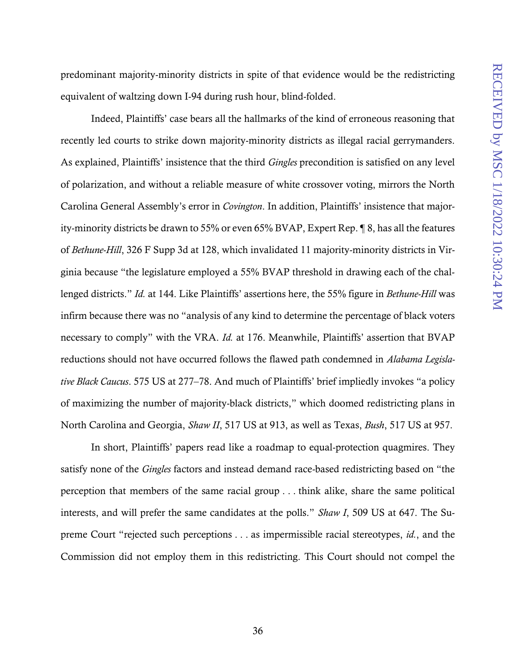predominant majority-minority districts in spite of that evidence would be the redistricting equivalent of waltzing down I-94 during rush hour, blind-folded.

Indeed, Plaintiffs' case bears all the hallmarks of the kind of erroneous reasoning that recently led courts to strike down majority-minority districts as illegal racial gerrymanders. As explained, Plaintiffs' insistence that the third *Gingles* precondition is satisfied on any level of polarization, and without a reliable measure of white crossover voting, mirrors the North Carolina General Assembly's error in *Covington*. In addition, Plaintiffs' insistence that majority-minority districts be drawn to 55% or even 65% BVAP, Expert Rep. ¶ 8, has all the features of *Bethune-Hill*, 326 F Supp 3d at 128, which invalidated 11 majority-minority districts in Virginia because "the legislature employed a 55% BVAP threshold in drawing each of the challenged districts." *Id.* at 144. Like Plaintiffs' assertions here, the 55% figure in *Bethune-Hill* was infirm because there was no "analysis of any kind to determine the percentage of black voters necessary to comply" with the VRA. *Id.* at 176. Meanwhile, Plaintiffs' assertion that BVAP reductions should not have occurred follows the flawed path condemned in *Alabama Legislative Black Caucus*. 575 US at 277–78. And much of Plaintiffs' brief impliedly invokes "a policy of maximizing the number of majority-black districts," which doomed redistricting plans in North Carolina and Georgia, *Shaw II*, 517 US at 913, as well as Texas, *Bush*, 517 US at 957.

In short, Plaintiffs' papers read like a roadmap to equal-protection quagmires. They satisfy none of the *Gingles* factors and instead demand race-based redistricting based on "the perception that members of the same racial group . . . think alike, share the same political interests, and will prefer the same candidates at the polls." *Shaw I*, 509 US at 647. The Supreme Court "rejected such perceptions . . . as impermissible racial stereotypes, *id.*, and the Commission did not employ them in this redistricting. This Court should not compel the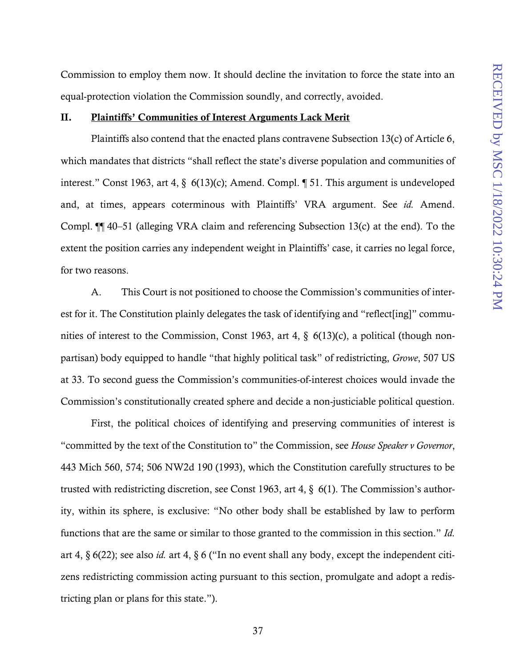Commission to employ them now. It should decline the invitation to force the state into an equal-protection violation the Commission soundly, and correctly, avoided.

#### <span id="page-44-0"></span>II. Plaintiffs' Communities of Interest Arguments Lack Merit

Plaintiffs also contend that the enacted plans contravene Subsection 13(c) of Article 6, which mandates that districts "shall reflect the state's diverse population and communities of interest." Const 1963, art 4, § 6(13)(c); Amend. Compl. ¶ 51. This argument is undeveloped and, at times, appears coterminous with Plaintiffs' VRA argument. See *id.* Amend. Compl. ¶¶ 40–51 (alleging VRA claim and referencing Subsection 13(c) at the end). To the extent the position carries any independent weight in Plaintiffs' case, it carries no legal force, for two reasons.

A. This Court is not positioned to choose the Commission's communities of interest for it. The Constitution plainly delegates the task of identifying and "reflect[ing]" communities of interest to the Commission, Const 1963, art 4, § 6(13)(c), a political (though nonpartisan) body equipped to handle "that highly political task" of redistricting, *Growe*, 507 US at 33. To second guess the Commission's communities-of-interest choices would invade the Commission's constitutionally created sphere and decide a non-justiciable political question.

First, the political choices of identifying and preserving communities of interest is "committed by the text of the Constitution to" the Commission, see *House Speaker v Governor*, 443 Mich 560, 574; 506 NW2d 190 (1993), which the Constitution carefully structures to be trusted with redistricting discretion, see Const 1963, art 4, § 6(1). The Commission's authority, within its sphere, is exclusive: "No other body shall be established by law to perform functions that are the same or similar to those granted to the commission in this section." *Id.* art 4, § 6(22); see also *id.* art 4, § 6 ("In no event shall any body, except the independent citizens redistricting commission acting pursuant to this section, promulgate and adopt a redistricting plan or plans for this state.").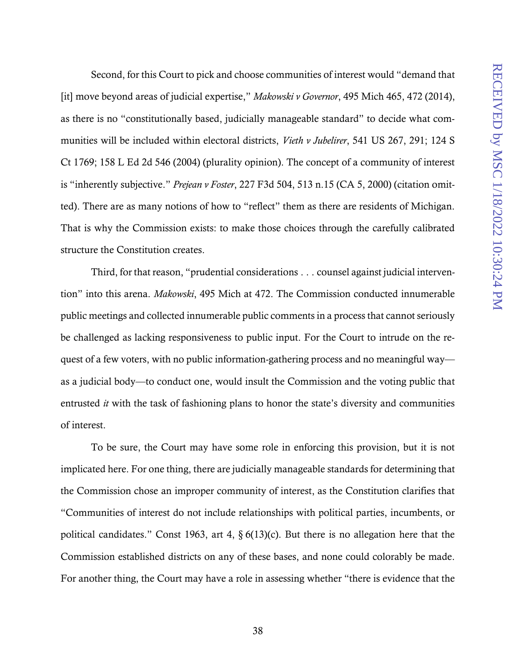Second, for this Court to pick and choose communities of interest would "demand that [it] move beyond areas of judicial expertise," *Makowski v Governor*, 495 Mich 465, 472 (2014), as there is no "constitutionally based, judicially manageable standard" to decide what communities will be included within electoral districts, *Vieth v Jubelirer*, 541 US 267, 291; 124 S Ct 1769; 158 L Ed 2d 546 (2004) (plurality opinion). The concept of a community of interest is "inherently subjective." *Prejean v Foster*, 227 F3d 504, 513 n.15 (CA 5, 2000) (citation omitted). There are as many notions of how to "reflect" them as there are residents of Michigan. That is why the Commission exists: to make those choices through the carefully calibrated structure the Constitution creates.

Third, for that reason, "prudential considerations . . . counsel against judicial intervention" into this arena. *Makowski*, 495 Mich at 472. The Commission conducted innumerable public meetings and collected innumerable public comments in a process that cannot seriously be challenged as lacking responsiveness to public input. For the Court to intrude on the request of a few voters, with no public information-gathering process and no meaningful way as a judicial body—to conduct one, would insult the Commission and the voting public that entrusted *it* with the task of fashioning plans to honor the state's diversity and communities of interest.

To be sure, the Court may have some role in enforcing this provision, but it is not implicated here. For one thing, there are judicially manageable standards for determining that the Commission chose an improper community of interest, as the Constitution clarifies that "Communities of interest do not include relationships with political parties, incumbents, or political candidates." Const 1963, art 4, § 6(13)(c). But there is no allegation here that the Commission established districts on any of these bases, and none could colorably be made. For another thing, the Court may have a role in assessing whether "there is evidence that the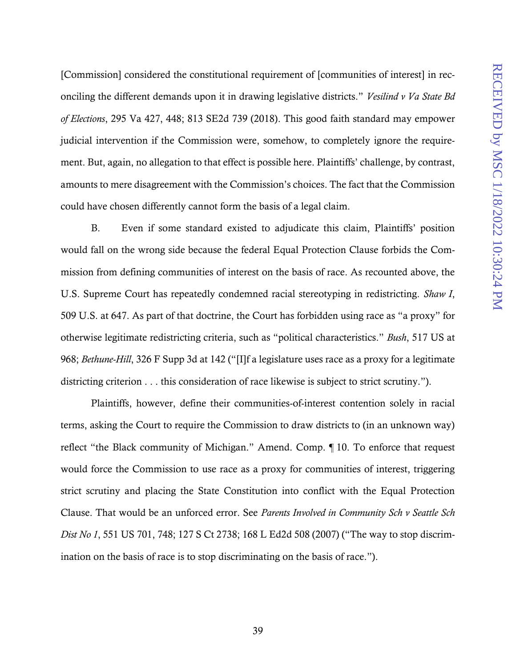[Commission] considered the constitutional requirement of [communities of interest] in reconciling the different demands upon it in drawing legislative districts." *Vesilind v Va State Bd of Elections*, 295 Va 427, 448; 813 SE2d 739 (2018). This good faith standard may empower judicial intervention if the Commission were, somehow, to completely ignore the requirement. But, again, no allegation to that effect is possible here. Plaintiffs' challenge, by contrast, amounts to mere disagreement with the Commission's choices. The fact that the Commission could have chosen differently cannot form the basis of a legal claim.

B. Even if some standard existed to adjudicate this claim, Plaintiffs' position would fall on the wrong side because the federal Equal Protection Clause forbids the Commission from defining communities of interest on the basis of race. As recounted above, the U.S. Supreme Court has repeatedly condemned racial stereotyping in redistricting. *Shaw I*, 509 U.S. at 647. As part of that doctrine, the Court has forbidden using race as "a proxy" for otherwise legitimate redistricting criteria, such as "political characteristics." *Bush*, 517 US at 968; *Bethune-Hill*, 326 F Supp 3d at 142 ("[I]f a legislature uses race as a proxy for a legitimate districting criterion . . . this consideration of race likewise is subject to strict scrutiny.").

Plaintiffs, however, define their communities-of-interest contention solely in racial terms, asking the Court to require the Commission to draw districts to (in an unknown way) reflect "the Black community of Michigan." Amend. Comp. ¶ 10. To enforce that request would force the Commission to use race as a proxy for communities of interest, triggering strict scrutiny and placing the State Constitution into conflict with the Equal Protection Clause. That would be an unforced error. See *Parents Involved in Community Sch v Seattle Sch Dist No 1*, 551 US 701, 748; 127 S Ct 2738; 168 L Ed2d 508 (2007) ("The way to stop discrimination on the basis of race is to stop discriminating on the basis of race.").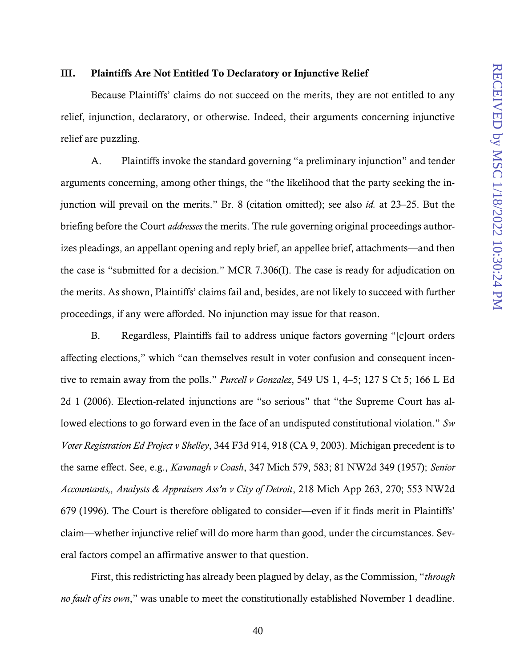#### <span id="page-47-0"></span>III. Plaintiffs Are Not Entitled To Declaratory or Injunctive Relief

Because Plaintiffs' claims do not succeed on the merits, they are not entitled to any relief, injunction, declaratory, or otherwise. Indeed, their arguments concerning injunctive relief are puzzling.

A. Plaintiffs invoke the standard governing "a preliminary injunction" and tender arguments concerning, among other things, the "the likelihood that the party seeking the injunction will prevail on the merits." Br. 8 (citation omitted); see also *id.* at 23–25. But the briefing before the Court *addresses* the merits. The rule governing original proceedings authorizes pleadings, an appellant opening and reply brief, an appellee brief, attachments—and then the case is "submitted for a decision." MCR 7.306(I). The case is ready for adjudication on the merits. As shown, Plaintiffs' claims fail and, besides, are not likely to succeed with further proceedings, if any were afforded. No injunction may issue for that reason.

B. Regardless, Plaintiffs fail to address unique factors governing "[c]ourt orders affecting elections," which "can themselves result in voter confusion and consequent incentive to remain away from the polls." *Purcell v Gonzalez*, 549 US 1, 4–5; 127 S Ct 5; 166 L Ed 2d 1 (2006). Election-related injunctions are "so serious" that "the Supreme Court has allowed elections to go forward even in the face of an undisputed constitutional violation." *Sw Voter Registration Ed Project v Shelley*, 344 F3d 914, 918 (CA 9, 2003). Michigan precedent is to the same effect. See, e.g., *Kavanagh v Coash*, 347 Mich 579, 583; 81 NW2d 349 (1957); *Senior Accountants,, Analysts & Appraisers Ass'n v City of Detroit*, 218 Mich App 263, 270; 553 NW2d 679 (1996). The Court is therefore obligated to consider—even if it finds merit in Plaintiffs' claim—whether injunctive relief will do more harm than good, under the circumstances. Several factors compel an affirmative answer to that question.

First, this redistricting has already been plagued by delay, as the Commission, "*through no fault of its own*," was unable to meet the constitutionally established November 1 deadline.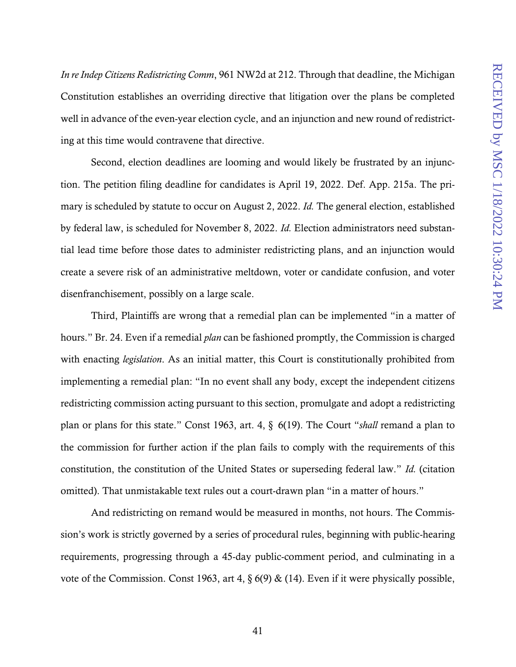*In re Indep Citizens Redistricting Comm*, 961 NW2d at 212. Through that deadline, the Michigan Constitution establishes an overriding directive that litigation over the plans be completed well in advance of the even-year election cycle, and an injunction and new round of redistricting at this time would contravene that directive.

Second, election deadlines are looming and would likely be frustrated by an injunction. The petition filing deadline for candidates is April 19, 2022. Def. App. 215a. The primary is scheduled by statute to occur on August 2, 2022. *Id.* The general election, established by federal law, is scheduled for November 8, 2022. *Id.* Election administrators need substantial lead time before those dates to administer redistricting plans, and an injunction would create a severe risk of an administrative meltdown, voter or candidate confusion, and voter disenfranchisement, possibly on a large scale.

Third, Plaintiffs are wrong that a remedial plan can be implemented "in a matter of hours." Br. 24. Even if a remedial *plan* can be fashioned promptly, the Commission is charged with enacting *legislation*. As an initial matter, this Court is constitutionally prohibited from implementing a remedial plan: "In no event shall any body, except the independent citizens redistricting commission acting pursuant to this section, promulgate and adopt a redistricting plan or plans for this state." Const 1963, art. 4, § 6(19). The Court "*shall* remand a plan to the commission for further action if the plan fails to comply with the requirements of this constitution, the constitution of the United States or superseding federal law." *Id.* (citation omitted). That unmistakable text rules out a court-drawn plan "in a matter of hours."

And redistricting on remand would be measured in months, not hours. The Commission's work is strictly governed by a series of procedural rules, beginning with public-hearing requirements, progressing through a 45-day public-comment period, and culminating in a vote of the Commission. Const 1963, art 4,  $\S$  6(9) & (14). Even if it were physically possible,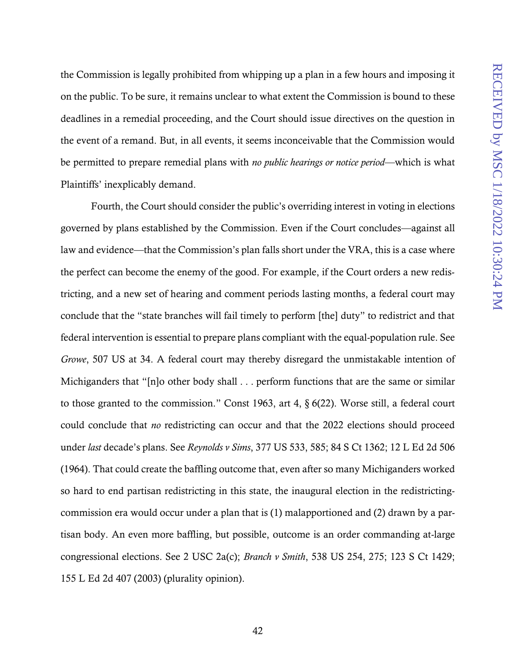the Commission is legally prohibited from whipping up a plan in a few hours and imposing it on the public. To be sure, it remains unclear to what extent the Commission is bound to these deadlines in a remedial proceeding, and the Court should issue directives on the question in the event of a remand. But, in all events, it seems inconceivable that the Commission would be permitted to prepare remedial plans with *no public hearings or notice period*—which is what Plaintiffs' inexplicably demand.

Fourth, the Court should consider the public's overriding interest in voting in elections governed by plans established by the Commission. Even if the Court concludes—against all law and evidence—that the Commission's plan falls short under the VRA, this is a case where the perfect can become the enemy of the good. For example, if the Court orders a new redistricting, and a new set of hearing and comment periods lasting months, a federal court may conclude that the "state branches will fail timely to perform [the] duty" to redistrict and that federal intervention is essential to prepare plans compliant with the equal-population rule. See *Growe*, 507 US at 34. A federal court may thereby disregard the unmistakable intention of Michiganders that "[n]o other body shall . . . perform functions that are the same or similar to those granted to the commission." Const 1963, art 4,  $\S$  6(22). Worse still, a federal court could conclude that *no* redistricting can occur and that the 2022 elections should proceed under *last* decade's plans. See *Reynolds v Sims*, 377 US 533, 585; 84 S Ct 1362; 12 L Ed 2d 506 (1964). That could create the baffling outcome that, even after so many Michiganders worked so hard to end partisan redistricting in this state, the inaugural election in the redistrictingcommission era would occur under a plan that is (1) malapportioned and (2) drawn by a partisan body. An even more baffling, but possible, outcome is an order commanding at-large congressional elections. See 2 USC 2a(c); *Branch v Smith*, 538 US 254, 275; 123 S Ct 1429; 155 L Ed 2d 407 (2003) (plurality opinion).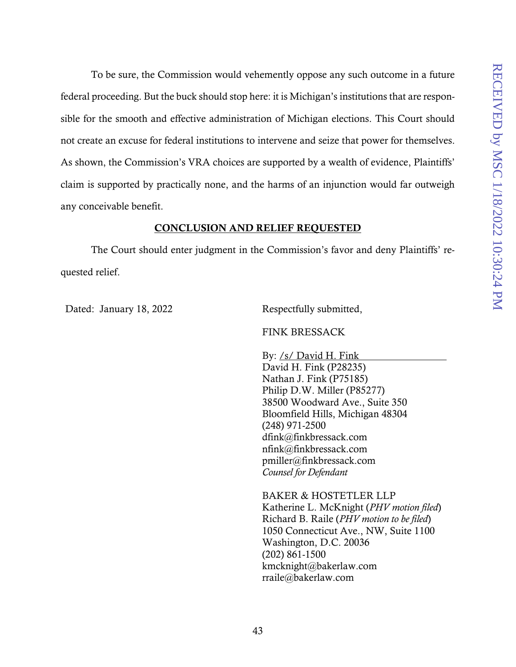To be sure, the Commission would vehemently oppose any such outcome in a future federal proceeding. But the buck should stop here: it is Michigan's institutions that are responsible for the smooth and effective administration of Michigan elections. This Court should not create an excuse for federal institutions to intervene and seize that power for themselves. As shown, the Commission's VRA choices are supported by a wealth of evidence, Plaintiffs' claim is supported by practically none, and the harms of an injunction would far outweigh any conceivable benefit.

#### CONCLUSION AND RELIEF REQUESTED

<span id="page-50-0"></span>The Court should enter judgment in the Commission's favor and deny Plaintiffs' requested relief.

Dated: January 18, 2022

Respectfully submitted,

FINK BRESSACK

By: /s/ David H. Fink David H. Fink (P28235) Nathan J. Fink (P75185) Philip D.W. Miller (P85277) 38500 Woodward Ave., Suite 350 Bloomfield Hills, Michigan 48304 (248) 971-2500 dfink@finkbressack.com nfink@finkbressack.com pmiller@finkbressack.com *Counsel for Defendant*

BAKER & HOSTETLER LLP Katherine L. McKnight (*PHV motion filed*) Richard B. Raile (*PHV motion to be filed*) 1050 Connecticut Ave., NW, Suite 1100 Washington, D.C. 20036 (202) 861-1500 kmcknight@bakerlaw.com rraile@bakerlaw.com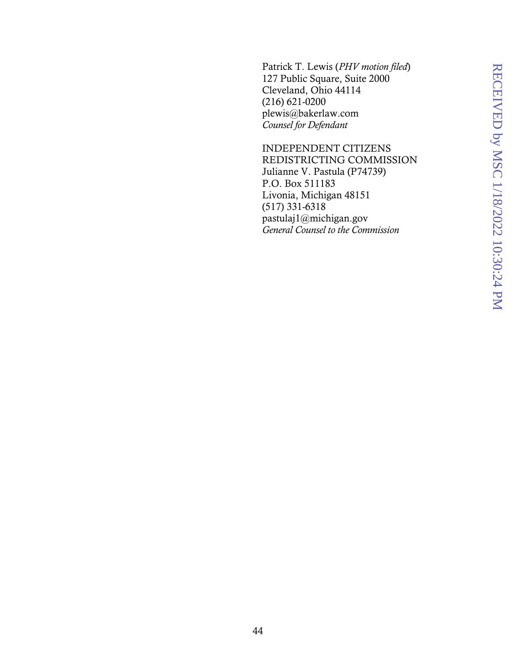Patrick T. Lewis (*PHV motion filed*) 127 Public Square, Suite 2000 Cleveland, Ohio 44114 (216) 621-0200 plewis@bakerlaw.com *Counsel for Defendant*

INDEPENDENT CITIZENS REDISTRICTING COMMISSION Julianne V. Pastula (P74739) P.O. Box 511183 Livonia, Michigan 48151 (517) 331-6318 pastulaj1@michigan.gov *General Counsel to the Commission*